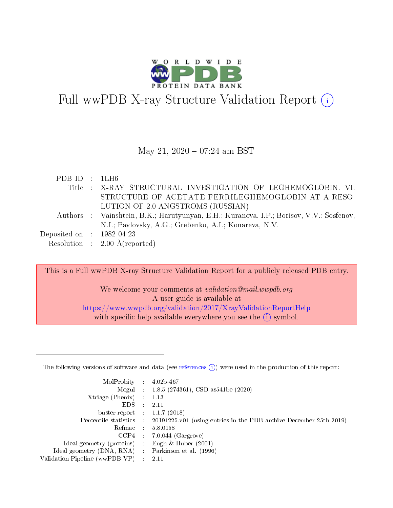

# Full wwPDB X-ray Structure Validation Report  $(i)$

#### May 21,  $2020 - 07:24$  am BST

| PDB ID : 1LH6               |                                                                                         |
|-----------------------------|-----------------------------------------------------------------------------------------|
|                             | Title: X-RAY STRUCTURAL INVESTIGATION OF LEGHEMOGLOBIN. VI.                             |
|                             | STRUCTURE OF ACETATE-FERRILEGHEMOGLOBIN AT A RESO-                                      |
|                             | LUTION OF 2.0 ANGSTROMS (RUSSIAN)                                                       |
|                             | Authors : Vainshtein, B.K.; Harutyunyan, E.H.; Kuranova, I.P.; Borisov, V.V.; Sosfenov, |
|                             | N.I.; Pavlovsky, A.G.; Grebenko, A.I.; Konareva, N.V.                                   |
| Deposited on : $1982-04-23$ |                                                                                         |
|                             | Resolution : $2.00 \text{ Å}$ (reported)                                                |

This is a Full wwPDB X-ray Structure Validation Report for a publicly released PDB entry.

We welcome your comments at *validation@mail.wwpdb.org* A user guide is available at <https://www.wwpdb.org/validation/2017/XrayValidationReportHelp> with specific help available everywhere you see the  $(i)$  symbol.

The following versions of software and data (see [references](https://www.wwpdb.org/validation/2017/XrayValidationReportHelp#references)  $(1)$ ) were used in the production of this report:

| MolProbity :                   |               | $4.02b - 467$                                                               |
|--------------------------------|---------------|-----------------------------------------------------------------------------|
|                                |               | Mogul : $1.8.5$ (274361), CSD as 541be (2020)                               |
| $X$ triage (Phenix) :          |               | 1.13                                                                        |
| EDS.                           |               | 2.11                                                                        |
| buster-report : $1.1.7$ (2018) |               |                                                                             |
| Percentile statistics :        |               | $20191225 \text{v}01$ (using entries in the PDB archive December 25th 2019) |
| Refmac :                       |               | 5.8.0158                                                                    |
| $CCP4$ :                       |               | $7.0.044$ (Gargrove)                                                        |
| Ideal geometry (proteins) :    |               | Engh $\&$ Huber (2001)                                                      |
| Ideal geometry (DNA, RNA) :    |               | Parkinson et al. (1996)                                                     |
| Validation Pipeline (wwPDB-VP) | $\mathcal{L}$ | 2.11                                                                        |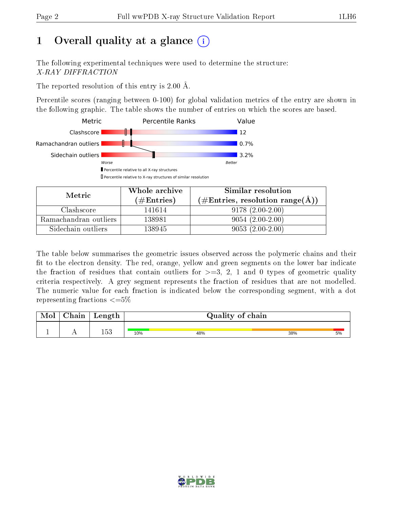# 1 [O](https://www.wwpdb.org/validation/2017/XrayValidationReportHelp#overall_quality)verall quality at a glance  $(i)$

The following experimental techniques were used to determine the structure: X-RAY DIFFRACTION

The reported resolution of this entry is 2.00 Å.

Percentile scores (ranging between 0-100) for global validation metrics of the entry are shown in the following graphic. The table shows the number of entries on which the scores are based.



| Metric.               | Whole archive       | Similar resolution                                         |
|-----------------------|---------------------|------------------------------------------------------------|
|                       | (# $\rm{Entries}$ ) | $(\#\text{Entries}, \text{resolution range}(\text{\AA}) )$ |
| Clashscore            | 141614              | $9178(2.00-2.00)$                                          |
| Ramachandran outliers | 138981              | $9054(2.00-2.00)$                                          |
| Sidechain outliers    | 138945              | $9053(2.00-2.00)$                                          |

The table below summarises the geometric issues observed across the polymeric chains and their fit to the electron density. The red, orange, yellow and green segments on the lower bar indicate the fraction of residues that contain outliers for  $\geq=3$ , 2, 1 and 0 types of geometric quality criteria respectively. A grey segment represents the fraction of residues that are not modelled. The numeric value for each fraction is indicated below the corresponding segment, with a dot representing fractions  $\leq=5\%$ 

| Mol | ${\bf Chain}$ | Length     | Quality of chain |     |     |    |
|-----|---------------|------------|------------------|-----|-----|----|
|     | . .           | しにつ<br>⊥്ട | 10%              | 48% | 38% | 5% |

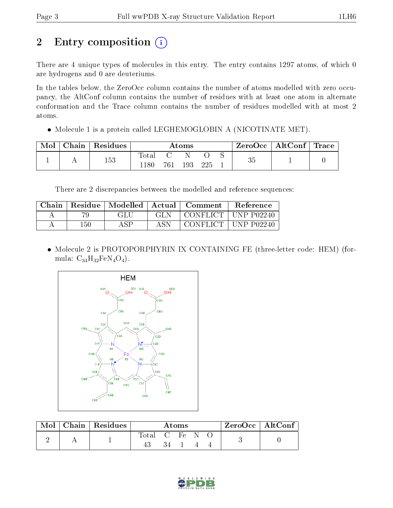# 2 Entry composition (i)

There are 4 unique types of molecules in this entry. The entry contains 1297 atoms, of which 0 are hydrogens and 0 are deuteriums.

In the tables below, the ZeroOcc column contains the number of atoms modelled with zero occupancy, the AltConf column contains the number of residues with at least one atom in alternate conformation and the Trace column contains the number of residues modelled with at most 2 atoms.

 $\bullet$  Molecule 1 is a protein called LEGHEMOGLOBIN A (NICOTINATE MET).

| Mol | ${\bf Chain \mid Residues}$ | $\rm\bf Atoms$      |       |     |     | $\text{ZeroOcc} \mid \text{AltConf} \mid \text{Trace}$ |    |  |  |
|-----|-----------------------------|---------------------|-------|-----|-----|--------------------------------------------------------|----|--|--|
|     | 153                         | $\rm Total$<br>1180 | 761 - | 193 | 225 |                                                        | 35 |  |  |

There are 2 discrepancies between the modelled and reference sequences:

| Chain | Residue | Modelled   Actual |      | Comment    | <b>Reference</b> |
|-------|---------|-------------------|------|------------|------------------|
| Н     |         | GLU               | GL N | ' CONFLICT | LUNP P02240      |
|       | $150\,$ | A CD              | ASN  | CONFLICT + | UNP P02240       |

 Molecule 2 is PROTOPORPHYRIN IX CONTAINING FE (three-letter code: HEM) (formula:  $C_{34}H_{32}FeN_4O_4$ .



| Mol | Chain   Residues | Atoms |            |  | ZeroOcc   AltConf |  |  |
|-----|------------------|-------|------------|--|-------------------|--|--|
|     |                  | Total | C Fe<br>34 |  |                   |  |  |

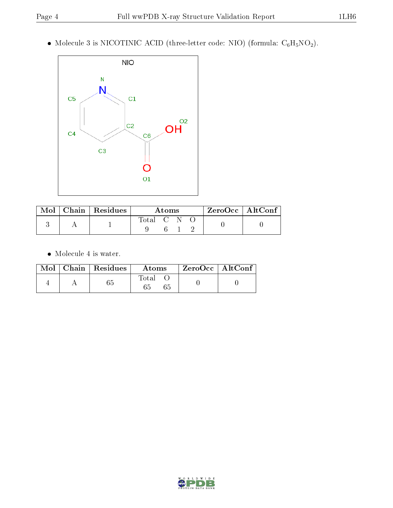$\bullet$  Molecule 3 is NICOTINIC ACID (three-letter code: NIO) (formula:  $\mathrm{C}_6\mathrm{H}_5\mathrm{NO_2}\mathrm{).}$ 



|  | $\blacksquare$ Mol $\vert$ Chain $\vert$ Residues |             | Atoms |  | $\perp$ ZeroOcc $\parallel$ AltConf $\parallel$ |  |
|--|---------------------------------------------------|-------------|-------|--|-------------------------------------------------|--|
|  |                                                   | Total C N O |       |  |                                                 |  |

Molecule 4 is water.

|  | $Mol$   Chain   Residues | Atoms       | ZeroOcc   AltConf |
|--|--------------------------|-------------|-------------------|
|  |                          | Total<br>65 |                   |

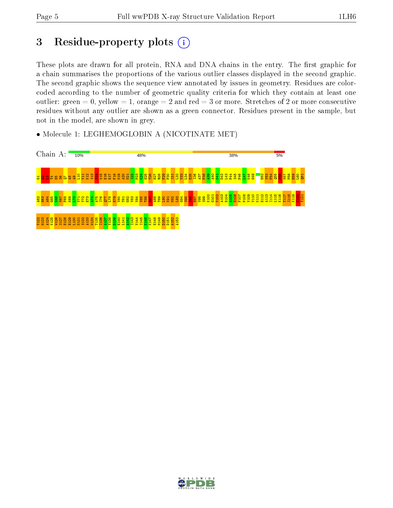## 3 Residue-property plots (i)

These plots are drawn for all protein, RNA and DNA chains in the entry. The first graphic for a chain summarises the proportions of the various outlier classes displayed in the second graphic. The second graphic shows the sequence view annotated by issues in geometry. Residues are colorcoded according to the number of geometric quality criteria for which they contain at least one outlier: green  $= 0$ , yellow  $= 1$ , orange  $= 2$  and red  $= 3$  or more. Stretches of 2 or more consecutive residues without any outlier are shown as a green connector. Residues present in the sample, but not in the model, are shown in grey.

• Molecule 1: LEGHEMOGLOBIN A (NICOTINATE MET)



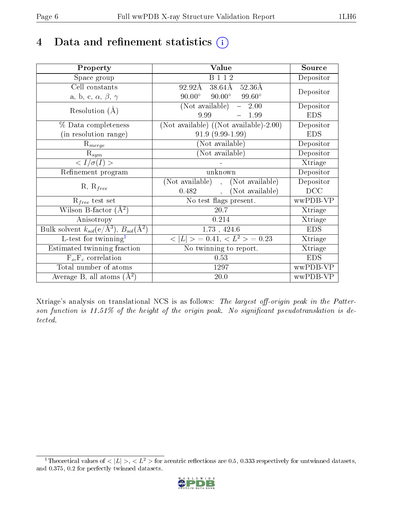# 4 Data and refinement statistics  $(i)$

| Property                                                             | Value                                            | Source     |
|----------------------------------------------------------------------|--------------------------------------------------|------------|
| Space group                                                          | <b>B</b> 1 1 2                                   | Depositor  |
| Cell constants                                                       | 38.64Å 52.36Å<br>92.92Å                          | Depositor  |
| a, b, c, $\alpha$ , $\beta$ , $\gamma$                               | $90.00^{\circ}$ $90.00^{\circ}$<br>$99.60^\circ$ |            |
| Resolution $(A)$                                                     | (Not available)<br>$-2.00$                       | Depositor  |
|                                                                      | 9.99<br>1.99                                     | <b>EDS</b> |
| % Data completeness                                                  | (Not available) $(Not available) - 2.00)$        | Depositor  |
| (in resolution range)                                                | $91.9(9.99-1.99)$                                | <b>EDS</b> |
| $R_{merge}$                                                          | (Not available)                                  | Depositor  |
| $\mathrm{R}_{sym}$                                                   | $(No\bar{t}$ available)                          | Depositor  |
| $\langle I/\sigma(I)\rangle$                                         |                                                  | Xtriage    |
| Refinement program                                                   | unknown                                          | Depositor  |
| $R, R_{free}$                                                        | (Not available), (Not available)                 | Depositor  |
|                                                                      | (Not available)<br>$0.482,$ ,                    | DCC        |
| $R_{free}$ test set                                                  | $\overline{\text{No}}$ test flags present.       | wwPDB-VP   |
| Wilson B-factor $(A^2)$                                              | 20.7                                             | Xtriage    |
| Anisotropy                                                           | 0.214                                            | Xtriage    |
| Bulk solvent $k_{sol}(e/\mathring{A}^3)$ , $B_{sol}(\mathring{A}^2)$ | 1.73, 424.6                                      | <b>EDS</b> |
| $L$ -test for twinning <sup>1</sup>                                  | $< L >$ = 0.41, $< L2 >$ = 0.23                  | Xtriage    |
| Estimated twinning fraction                                          | No twinning to report.                           | Xtriage    |
| $F_o, F_c$ correlation                                               | 0.53                                             | <b>EDS</b> |
| Total number of atoms                                                | 1297                                             | wwPDB-VP   |
| Average B, all atoms $(A^2)$                                         | 20.0                                             | wwPDB-VP   |

Xtriage's analysis on translational NCS is as follows: The largest off-origin peak in the Patterson function is  $11.51\%$  of the height of the origin peak. No significant pseudotranslation is detected.

<span id="page-5-0"></span><sup>&</sup>lt;sup>1</sup>Theoretical values of  $\langle |L| \rangle, \langle L^2 \rangle$  for acentric reflections are 0.5, 0.333 respectively for untwinned datasets, and 0.375, 0.2 for perfectly twinned datasets.

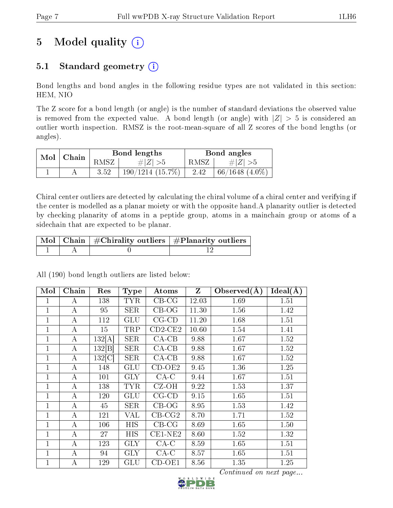# 5 Model quality  $(i)$

## 5.1 Standard geometry (i)

Bond lengths and bond angles in the following residue types are not validated in this section: HEM, NIO

The Z score for a bond length (or angle) is the number of standard deviations the observed value is removed from the expected value. A bond length (or angle) with  $|Z| > 5$  is considered an outlier worth inspection. RMSZ is the root-mean-square of all Z scores of the bond lengths (or angles).

| $Mol$   Chain |      | Bond lengths          | Bond angles |                     |  |
|---------------|------|-----------------------|-------------|---------------------|--|
|               | RMSZ | # $ Z  > 5$           | RMSZ        | # Z  > 5            |  |
|               | 3.52 | $190/1214$ $(15.7\%)$ | 2.42        | $66/1648$ $(4.0\%)$ |  |

Chiral center outliers are detected by calculating the chiral volume of a chiral center and verifying if the center is modelled as a planar moiety or with the opposite hand.A planarity outlier is detected by checking planarity of atoms in a peptide group, atoms in a mainchain group or atoms of a sidechain that are expected to be planar.

|  | $\mid$ Mol $\mid$ Chain $\mid$ #Chirality outliers $\mid$ #Planarity outliers $\mid$ |
|--|--------------------------------------------------------------------------------------|
|  |                                                                                      |

Mol Chain Res Type Atoms Z Observed( $\AA$ ) Ideal( $\AA$ ) 1 | A | 138 | TYR | CB-CG | 12.03 | 1.69 | 1.51 1 | A | 95 | SER | CB-OG | 11.30 | 1.56 | 1.42 1 | A | 112 | GLU | CG-CD | 11.20 | 1.68 | 1.51  $1 \mid A \mid 15 \mid \text{TRP} \mid \text{CD2-CE2} \mid 10.60 \mid 1.54 \mid 1.41$ 1 | A | 132[A] | SER | CA-CB | 9.88 | 1.67 | 1.52 1 | A | 132 | B | SER | CA-CB | 9.88 | 1.67 | 1.52 1 | A | 132[C] | SER | CA-CB | 9.88 | 1.67 | 1.52 1 | A | 148 | GLU | CD-OE2 | 9.45 | 1.36 | 1.25 1 | A | 101 | GLY | CA-C | 9.44 | 1.67 | 1.51 1 | A | 138 | TYR | CZ-OH | 9.22 | 1.53 | 1.37 1 | A | 120 | GLU | CG-CD | 9.15 | 1.65 | 1.51 1 | A | 45 | SER | CB-OG | 8.95 | 1.53 | 1.42 1 | A | 121 | VAL | CB-CG2 | 8.70 | 1.71 | 1.52 1 | A | 106 | HIS | CB-CG | 8.69 | 1.65 | 1.50 1 | A | 27 | HIS | CE1-NE2 | 8.60 | 1.52 | 1.32 1 | A | 123 | GLY | CA-C | 8.59 | 1.65 | 1.51 1 | A | 94 | GLY | CA-C | 8.57 | 1.65 | 1.51 1 | A | 129 | GLU | CD-OE1 | 8.56 | 1.35 | 1.25

All (190) bond length outliers are listed below:

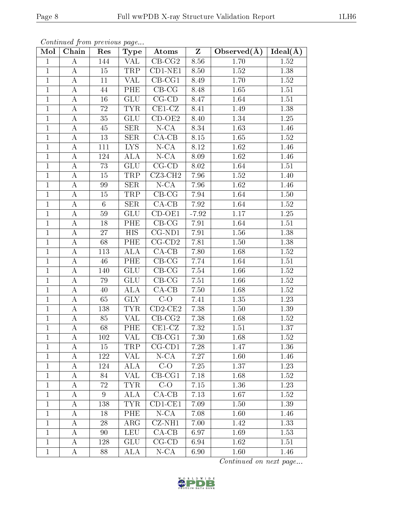| Mol          | Chain            | Res             | Type                    | Atoms        | $\mathbf{Z}$ | Observed $(A)$ | Ideal(A)          |
|--------------|------------------|-----------------|-------------------------|--------------|--------------|----------------|-------------------|
| $\mathbf{1}$ | А                | 144             | VAL                     | $CB-CG2$     | 8.56         | 1.70           | 1.52              |
| $\mathbf{1}$ | A                | 15              | TRP                     | $CD1-NE1$    | 8.50         | 1.52           | 1.38              |
| $\mathbf{1}$ | А                | 11              | VAL                     | $CB-CG1$     | 8.49         | 1.70           | 1.52              |
| $\mathbf{1}$ | А                | 44              | PHE                     | $CB-CG$      | 8.48         | 1.65           | 1.51              |
| $\mathbf{1}$ | А                | 16              | GLU                     | $CG-CD$      | 8.47         | 1.64           | 1.51              |
| 1            | А                | 72              | <b>TYR</b>              | $CE1-CZ$     | 8.41         | 1.49           | 1.38              |
| $\mathbf{1}$ | А                | 35              | GLU                     | $CD-OE2$     | 8.40         | 1.34           | 1.25              |
| $\mathbf{1}$ | А                | 45              | <b>SER</b>              | $N$ -CA      | 8.34         | 1.63           | 1.46              |
| $\mathbf{1}$ | А                | 13              | <b>SER</b>              | $CA-CB$      | 8.15         | 1.65           | 1.52              |
| $\mathbf{1}$ | $\boldsymbol{A}$ | 111             | $\overline{\text{LYS}}$ | $N$ -CA      | 8.12         | 1.62           | 1.46              |
| $\mathbf{1}$ | А                | 124             | ALA                     | $N$ -CA      | 8.09         | 1.62           | 1.46              |
| $\mathbf 1$  | А                | 73              | GLU                     | $CG$ - $CD$  | 8.02         | 1.64           | 1.51              |
| $\mathbf{1}$ | $\boldsymbol{A}$ | 15              | TRP                     | CZ3-CH2      | 7.96         | 1.52           | 1.40              |
| $\mathbf{1}$ | $\bf{A}$         | 99              | <b>SER</b>              | $N$ -CA      | 7.96         | 1.62           | 1.46              |
| $\mathbf 1$  | А                | 15              | TRP                     | $CB-CG$      | 7.94         | 1.64           | 1.50              |
| $\mathbf{1}$ | А                | $6\phantom{.}6$ | <b>SER</b>              | $CA-CB$      | 7.92         | 1.64           | 1.52              |
| $\mathbf{1}$ | А                | 59              | GLU                     | $CD-OE1$     | $-7.92$      | 1.17           | 1.25              |
| $\mathbf{1}$ | A                | 18              | PHE                     | $CB-CG$      | 7.91         | 1.64           | 1.51              |
| $\mathbf{1}$ | A                | 27              | HIS                     | CG-ND1       | 7.91         | 1.56           | 1.38              |
| $\mathbf{1}$ | А                | 68              | PHE                     | $CG$ - $CD2$ | 7.81         | 1.50           | $1.\overline{38}$ |
| $\mathbf{1}$ | A                | 113             | ALA                     | $CA-CB$      | 7.80         | 1.68           | 1.52              |
| $\mathbf{1}$ | А                | 46              | PHE                     | $CB-CG$      | 7.74         | 1.64           | 1.51              |
| $\mathbf 1$  | А                | 140             | GLU                     | $CB-CG$      | 7.54         | 1.66           | 1.52              |
| $\mathbf 1$  | А                | 79              | GLU                     | $CB-CG$      | 7.51         | 1.66           | 1.52              |
| $\mathbf{1}$ | А                | 40              | <b>ALA</b>              | $CA-CB$      | 7.50         | 1.68           | 1.52              |
| $\mathbf{1}$ | А                | 65              | <b>GLY</b>              | $C-O$        | 7.41         | 1.35           | 1.23              |
| $\mathbf{1}$ | А                | 138             | <b>TYR</b>              | $CD2-CE2$    | 7.38         | 1.50           | 1.39              |
| $\perp$      | А                | 85              | VAL                     | $CB-CG2$     | 7.38         | 1.68           | 1.52              |
| $\mathbf{1}$ | A                | 68              | PHE                     | $CE1-CZ$     | 7.32         | 1.51           | 1.37              |
| $\mathbf{1}$ | А                | 102             | VAL                     | $CB-CG1$     | 7.30         | 1.68           | 1.52              |
| $\mathbf{1}$ | А                | 15              | TRP                     | $CG$ - $CD1$ | 7.28         | 1.47           | 1.36              |
| $\mathbf{1}$ | A                | 122             | VAL                     | $N$ -CA      | 7.27         | 1.60           | 1.46              |
| $\mathbf{1}$ | Α                | 124             | <b>ALA</b>              | $C-O$        | 7.25         | 1.37           | 1.23              |
| $\mathbf{1}$ | А                | 84              | VAL                     | $CB-CG1$     | 7.18         | 1.68           | 1.52              |
| $\mathbf{1}$ | А                | 72              | <b>TYR</b>              | $C-O$        | 7.15         | 1.36           | 1.23              |
| $\mathbf 1$  | A                | 9               | ALA                     | $CA-CB$      | 7.13         | 1.67           | 1.52              |
| $\mathbf{1}$ | А                | 138             | <b>TYR</b>              | $CD1-CE1$    | 7.09         | 1.50           | 1.39              |
| $\mathbf{1}$ | А                | 18              | PHE                     | $N$ -CA      | 7.08         | 1.60           | 1.46              |
| $\mathbf{1}$ | А                | 28              | ARG                     | $CZ-NH1$     | 7.00         | 1.42           | 1.33              |
| $\mathbf{1}$ | А                | 90              | <b>LEU</b>              | $CA-CB$      | 6.97         | 1.69           | 1.53              |
| $\mathbf{1}$ | А                | 128             | GLU                     | $CG$ - $CD$  | 6.94         | 1.62           | 1.51              |
| $\mathbf{1}$ | А                | 88              | ALA                     | $N$ -CA      | 6.90         | 1.60           | 1.46              |

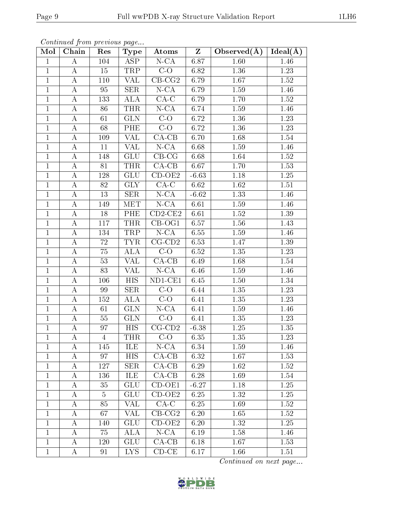|              | Continued from previous page |                |                         |                                 |              |                |          |
|--------------|------------------------------|----------------|-------------------------|---------------------------------|--------------|----------------|----------|
| Mol          | Chain                        | Res            | Type                    | Atoms                           | $\mathbf{Z}$ | Observed $(A)$ | Ideal(A) |
| $\mathbf{1}$ | A                            | 104            | $\overline{\text{ASP}}$ | $\overline{\text{N-C}}\text{A}$ | 6.87         | 1.60           | 1.46     |
| $\mathbf{1}$ | $\bf{A}$                     | 15             | TRP                     | $C-O$                           | 6.82         | 1.36           | 1.23     |
| $\mathbf{1}$ | $\boldsymbol{A}$             | 110            | <b>VAL</b>              | $CB-CG2$                        | 6.79         | 1.67           | 1.52     |
| $\mathbf{1}$ | А                            | 95             | <b>SER</b>              | $N$ -CA                         | 6.79         | 1.59           | 1.46     |
| $\mathbf{1}$ | А                            | 133            | ALA                     | $CA-C$                          | 6.79         | 1.70           | 1.52     |
| $\mathbf{1}$ | A                            | 86             | <b>THR</b>              | $N$ -CA                         | 6.74         | 1.59           | 1.46     |
| $\mathbf{1}$ | A                            | 61             | <b>GLN</b>              | $C-O$                           | 6.72         | 1.36           | 1.23     |
| $\mathbf{1}$ | $\bf{A}$                     | 68             | PHE                     | $\overline{C-O}$                | 6.72         | 1.36           | 1.23     |
| $\mathbf{1}$ | A                            | 109            | VAL                     | $CA-CB$                         | 6.70         | 1.68           | 1.54     |
| $\mathbf{1}$ | А                            | 11             | VAL                     | $N$ -CA                         | 6.68         | 1.59           | 1.46     |
| $\mathbf{1}$ | Α                            | 148            | GLU                     | $CB-CG$                         | 6.68         | 1.64           | 1.52     |
| $\mathbf{1}$ | A                            | 81             | <b>THR</b>              | $CA-CB$                         | 6.67         | 1.70           | 1.53     |
| $\mathbf{1}$ | А                            | 128            | <b>GLU</b>              | $CD-OE2$                        | $-6.63$      | 1.18           | $1.25\,$ |
| $\mathbf{1}$ | А                            | 82             | <b>GLY</b>              | $CA-C$                          | 6.62         | 1.62           | 1.51     |
| $\mathbf{1}$ | $\bf{A}$                     | 13             | <b>SER</b>              | $N$ -CA                         | $-6.62$      | 1.33           | 1.46     |
| $\mathbf{1}$ | А                            | 149            | <b>MET</b>              | $\overline{\text{N-CA}}$        | 6.61         | 1.59           | 1.46     |
| $\mathbf{1}$ | $\bf{A}$                     | 18             | PHE                     | $CD2-CE2$                       | 6.61         | 1.52           | 1.39     |
| $\mathbf{1}$ | А                            | 117            | <b>THR</b>              | $CB-OG1$                        | 6.57         | 1.56           | 1.43     |
| $\mathbf{1}$ | $\bf{A}$                     | 134            | TRP                     | $N$ -CA                         | $6.55\,$     | 1.59           | 1.46     |
| $\mathbf{1}$ | А                            | 72             | <b>TYR</b>              | $CG$ - $CD2$                    | 6.53         | 1.47           | 1.39     |
| $\mathbf{1}$ | A                            | 75             | <b>ALA</b>              | $C-O$                           | 6.52         | 1.35           | 1.23     |
| $\mathbf{1}$ | A                            | 53             | <b>VAL</b>              | $CA-CB$                         | 6.49         | 1.68           | 1.54     |
| $\mathbf{1}$ | А                            | 83             | VAL                     | $N$ -CA                         | 6.46         | 1.59           | 1.46     |
| $\mathbf{1}$ | А                            | 106            | <b>HIS</b>              | $ND1-CE1$                       | 6.45         | 1.50           | 1.34     |
| $\mathbf{1}$ | А                            | 99             | <b>SER</b>              | $C-O$                           | 6.44         | 1.35           | 1.23     |
| $\mathbf{1}$ | A                            | 152            | ALA                     | $C-O$                           | 6.41         | 1.35           | 1.23     |
| $\mathbf{1}$ | A                            | 61             | <b>GLN</b>              | $N$ -CA                         | 6.41         | 1.59           | 1.46     |
| $\mathbf{1}$ | А                            | 55             | <b>GLN</b>              | $C-O$                           | 6.41         | 1.35           | 1.23     |
| $\mathbf{1}$ | $\boldsymbol{A}$             | 97             | <b>HIS</b>              | $CG$ - $CD2$                    | $-6.38$      | $1.25\,$       | 1.35     |
| $\mathbf{1}$ | Α                            | $\overline{4}$ | <b>THR</b>              | $C-O$                           | 6.35         | 1.35           | 1.23     |
| $\mathbf{1}$ | А                            | 145            | ILE                     | $N$ -CA                         | 6.34         | 1.59           | 1.46     |
| $\mathbf{1}$ | А                            | 97             | HIS                     | $CA-CB$                         | 6.32         | 1.67           | 1.53     |
| $\mathbf{1}$ | А                            | 127            | SER                     | $CA-CB$                         | 6.29         | 1.62           | 1.52     |
| $\mathbf{1}$ | A                            | 136            | ILE                     | $CA-CB$                         | 6.28         | 1.69           | 1.54     |
| $\mathbf{1}$ | А                            | 35             | GLU                     | $CD-OE1$                        | $-6.27$      | 1.18           | 1.25     |

 $Continued$   $f$ 

Continued on next page...



1 | A | 5 | GLU | CD-OE2 | 6.25 | 1.32 | 1.25 1 | A | 85 | VAL | CA-C | 6.25 | 1.69 | 1.52 1 | A | 67 | VAL | CB-CG2 | 6.20 | 1.65 | 1.52 1 A 140 GLU CD-OE2 6.20 1.32 1.25 1 | A | 75 | ALA | N-CA | 6.19 | 1.58 | 1.46 1 | A | 120 | GLU | CA-CB | 6.18 | 1.67 | 1.53 1 | A | 91 | LYS | CD-CE | 6.17 | 1.66 | 1.51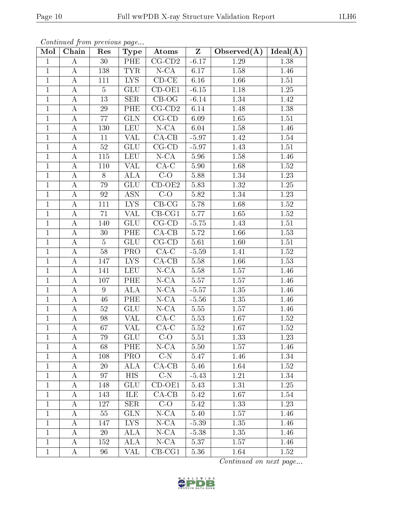|                | Continued from previous page |                |                           |                     |              |                  |                       |
|----------------|------------------------------|----------------|---------------------------|---------------------|--------------|------------------|-----------------------|
| Mol            | Chain                        | Res            | <b>Type</b>               | Atoms               | $\mathbf{Z}$ | Observed $(\AA)$ | $Ideal(\overline{A})$ |
| $\mathbf{1}$   | А                            | 30             | PHE                       | $CG-CD2$            | $-6.17$      | 1.29             | 1.38                  |
| $\mathbf{1}$   | А                            | 138            | <b>TYR</b>                | $N$ -CA             | 6.17         | 1.58             | 1.46                  |
| $\overline{1}$ | А                            | 111            | $\overline{\text{LYS}}$   | $CD-CE$             | 6.16         | 1.66             | 1.51                  |
| $\mathbf{1}$   | А                            | $\overline{5}$ | <b>GLU</b>                | $CD-OE1$            | $-6.15$      | 1.18             | 1.25                  |
| $\mathbf{1}$   | $\boldsymbol{A}$             | 13             | <b>SER</b>                | $\overline{C}$ B-OG | $-6.14$      | 1.34             | 1.42                  |
| $\mathbf{1}$   | А                            | 29             | PHE                       | $CG$ - $CD2$        | $6.14\,$     | 1.48             | $1.38\,$              |
| $\mathbf{1}$   | $\boldsymbol{A}$             | 77             | <b>GLN</b>                | $CG$ - $CD$         | 6.09         | 1.65             | 1.51                  |
| $\overline{1}$ | A                            | 130            | <b>LEU</b>                | $N$ -CA             | 6.04         | 1.58             | 1.46                  |
| $\mathbf{1}$   | A                            | 11             | VAL                       | $CA-CB$             | $-5.97$      | 1.42             | 1.54                  |
| $\mathbf{1}$   | А                            | 52             | <b>GLU</b>                | $\overline{CG-CD}$  | $-5.97$      | 1.43             | 1.51                  |
| $\mathbf{1}$   | Α                            | 115            | <b>LEU</b>                | $N$ -CA             | 5.96         | 1.58             | 1.46                  |
| $\mathbf{1}$   | A                            | 110            | VAL                       | $CA-C$              | 5.90         | 1.68             | 1.52                  |
| $\overline{1}$ | $\boldsymbol{A}$             | 8              | <b>ALA</b>                | $C-O$               | 5.88         | 1.34             | 1.23                  |
| $\mathbf{1}$   | А                            | 79             | GLU                       | $CD-OE2$            | 5.83         | 1.32             | 1.25                  |
| $\overline{1}$ | Α                            | 92             | <b>ASN</b>                | $C-O$               | 5.82         | 1.34             | 1.23                  |
| $\mathbf{1}$   | Α                            | 111            | <b>LYS</b>                | $CB-CG$             | 5.78         | 1.68             | 1.52                  |
| $\overline{1}$ | Α                            | 71             | VAL                       | $CB-CG1$            | 5.77         | 1.65             | 1.52                  |
| $\mathbf{1}$   | А                            | 140            | <b>GLU</b>                | $CG$ - $CD$         | $-5.75$      | 1.43             | 1.51                  |
| $\mathbf 1$    | A                            | 30             | PHE                       | $CA-CB$             | 5.72         | 1.66             | $1.53\,$              |
| $\mathbf{1}$   | А                            | $\overline{5}$ | <b>GLU</b>                | $CG$ - $CD$         | 5.61         | 1.60             | 1.51                  |
| $\mathbf{1}$   | $\boldsymbol{A}$             | 58             | <b>PRO</b>                | $CA-C$              | $-5.59$      | 1.41             | 1.52                  |
| $\mathbf{1}$   | А                            | 147            | <b>LYS</b>                | $CA-CB$             | 5.58         | 1.66             | 1.53                  |
| $\overline{1}$ | A                            | 141            | <b>LEU</b>                | $N$ -CA             | 5.58         | 1.57             | 1.46                  |
| $\mathbf{1}$   | $\boldsymbol{A}$             | 107            | <b>PHE</b>                | $N$ -CA             | 5.57         | 1.57             | 1.46                  |
| $\overline{1}$ | A                            | 9              | <b>ALA</b>                | $N$ -CA             | $-5.57$      | 1.35             | 1.46                  |
| $\mathbf{1}$   | $\boldsymbol{A}$             | 46             | PHE                       | $N$ -CA             | $-5.56$      | 1.35             | 1.46                  |
| $\overline{1}$ | A                            | 52             | $\overline{\mathrm{GLU}}$ | $N$ -CA             | 5.55         | 1.57             | 1.46                  |
| $\mathbf{1}$   | $\boldsymbol{A}$             | 98             | VAL                       | $CA-C$              | 5.53         | 1.67             | $1.52\,$              |
| $\mathbf 1$    | $\boldsymbol{A}$             | $67\,$         | <b>VAL</b>                | $CA-C$              | 5.52         | 1.67             | $1.52\,$              |
| $\mathbf{1}$   | А                            | 79             | GLU                       | $C-O$               | 5.51         | 1.33             | 1.23                  |
| $\mathbf{1}$   | Α                            | 68             | PHE                       | $N$ -CA             | 5.50         | 1.57             | 1.46                  |
| $\mathbf{1}$   | A                            | 108            | <b>PRO</b>                | $C-N$               | 5.47         | 1.46             | 1.34                  |
| $\mathbf{1}$   | А                            | 20             | ALA                       | $CA-CB$             | 5.46         | 1.64             | 1.52                  |
| $\mathbf{1}$   | А                            | 97             | <b>HIS</b>                | $C-N$               | $-5.43$      | 1.21             | 1.34                  |
| $\mathbf{1}$   | А                            | 148            | <b>GLU</b>                | $CD-OE1$            | 5.43         | 1.31             | 1.25                  |
| $\mathbf{1}$   | A                            | 143            | ILE                       | $CA-CB$             | 5.42         | 1.67             | 1.54                  |
| $\mathbf{1}$   | А                            | 127            | SER                       | $C-O$               | 5.42         | 1.33             | 1.23                  |
| $\mathbf{1}$   | A                            | 55             | <b>GLN</b>                | $N$ -CA             | 5.40         | 1.57             | 1.46                  |
| $\mathbf{1}$   | А                            | 147            | <b>LYS</b>                | $N$ -CA             | $-5.39$      | 1.35             | 1.46                  |
| $\mathbf{1}$   | А                            | 20             | <b>ALA</b>                | $N$ -CA             | $-5.38$      | 1.35             | 1.46                  |
| $\mathbf{1}$   | А                            | 152            | <b>ALA</b>                | $N$ -CA             | 5.37         | 1.57             | 1.46                  |
| $\mathbf{1}$   | A                            | 96             | VAL                       | $CB-CG1$            | 5.36         | 1.64             | 1.52                  |
|                |                              |                |                           |                     |              |                  |                       |

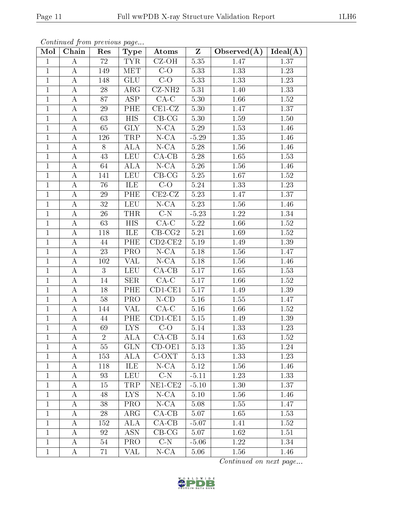| Mol            | Continuea from previous page<br>Chain | Res            | Type                    | Atoms                            | $\mathbf{Z}$ | Observed $(\AA)$ | Ideal(A)          |
|----------------|---------------------------------------|----------------|-------------------------|----------------------------------|--------------|------------------|-------------------|
| $\mathbf{1}$   | A                                     | 72             | TYR.                    | $CZ-OH$                          | 5.35         | 1.47             | 1.37              |
| $\mathbf{1}$   | $\boldsymbol{A}$                      | 149            | MET                     | $C-O$                            | 5.33         | 1.33             | 1.23              |
| $\mathbf{1}$   | $\boldsymbol{A}$                      | 148            | GLU                     | $\overline{C-O}$                 | 5.33         | 1.33             | $\overline{1.23}$ |
| $\mathbf{1}$   | $\boldsymbol{A}$                      | 28             | $\rm{ARG}$              | $CZ-NH2$                         | 5.31         | 1.40             | 1.33              |
| $\mathbf{1}$   | $\boldsymbol{A}$                      | 87             | $\overline{\text{ASP}}$ | $CA-C$                           | 5.30         | 1.66             | 1.52              |
| $\mathbf{1}$   | $\boldsymbol{A}$                      | $29\,$         | PHE                     | $CE1-CZ$                         | 5.30         | 1.47             | 1.37              |
| $\mathbf{1}$   | $\boldsymbol{A}$                      | 63             | <b>HIS</b>              | $\overline{CB-CG}$               | 5.30         | $1.59\,$         | $1.50\,$          |
| $\mathbf{1}$   | $\boldsymbol{A}$                      | 65             | <b>GLY</b>              | $N$ -CA                          | 5.29         | 1.53             | 1.46              |
| $\mathbf{1}$   | $\boldsymbol{A}$                      | 126            | TRP                     | $N$ -CA                          | $-5.29$      | 1.35             | 1.46              |
| $\mathbf{1}$   | $\boldsymbol{A}$                      | 8              | <b>ALA</b>              | $N$ -CA                          | $5.28\,$     | 1.56             | 1.46              |
| $\mathbf{1}$   | $\boldsymbol{A}$                      | 43             | <b>LEU</b>              | $CA-CB$                          | 5.28         | 1.65             | 1.53              |
| $\mathbf{1}$   | $\boldsymbol{A}$                      | 64             | <b>ALA</b>              | $N$ -CA                          | 5.26         | 1.56             | 1.46              |
| $\mathbf{1}$   | А                                     | 141            | <b>LEU</b>              | $\overline{\text{CB-}}\text{CG}$ | 5.25         | 1.67             | 1.52              |
| $\mathbf{1}$   | A                                     | 76             | ILE                     | $C-O$                            | 5.24         | 1.33             | 1.23              |
| $\mathbf{1}$   | $\boldsymbol{A}$                      | 29             | <b>PHE</b>              | $CE2-CZ$                         | 5.23         | 1.47             | 1.37              |
| $\mathbf{1}$   | A                                     | $32\,$         | <b>LEU</b>              | $N$ -CA                          | 5.23         | $1.56\,$         | 1.46              |
| $\mathbf{1}$   | $\boldsymbol{A}$                      | $26\,$         | <b>THR</b>              | $C-N$                            | $-5.23$      | 1.22             | 1.34              |
| $\mathbf{1}$   | $\boldsymbol{A}$                      | 63             | HIS                     | $CA-C$                           | 5.22         | 1.66             | 1.52              |
| $\mathbf{1}$   | $\boldsymbol{A}$                      | 118            | ILE                     | $\overline{\text{CB-CG2}}$       | 5.21         | 1.69             | 1.52              |
| $\overline{1}$ | $\overline{\rm A}$                    | 44             | PHE                     | $CD2-CE2$                        | $5.19\,$     | 1.49             | $1.39\,$          |
| $\mathbf 1$    | $\boldsymbol{A}$                      | $23\,$         | <b>PRO</b>              | $N$ -CA                          | 5.18         | 1.56             | 1.47              |
| $\mathbf{1}$   | $\boldsymbol{A}$                      | 102            | <b>VAL</b>              | $N$ -CA                          | $5.18\,$     | 1.56             | 1.46              |
| $\mathbf{1}$   | $\boldsymbol{A}$                      | 3              | <b>LEU</b>              | $CA-CB$                          | 5.17         | $1.65\,$         | $1.53\,$          |
| $\mathbf{1}$   | $\boldsymbol{A}$                      | 14             | SER                     | $CA-C$                           | $5.17$       | 1.66             | 1.52              |
| $\mathbf{1}$   | $\boldsymbol{A}$                      | 18             | <b>PHE</b>              | $CD1-CE1$                        | $5.17\,$     | 1.49             | 1.39              |
| $\mathbf{1}$   | $\boldsymbol{A}$                      | $58\,$         | PRO                     | $N$ -CD                          | 5.16         | 1.55             | 1.47              |
| $\mathbf{1}$   | $\boldsymbol{A}$                      | 144            | VAL                     | $CA-C$                           | 5.16         | 1.66             | 1.52              |
| $\mathbf{1}$   | $\boldsymbol{A}$                      | 44             | PHE                     | $CD1-CE1$                        | 5.15         | 1.49             | 1.39              |
| $\mathbf{1}$   | A                                     | 69             | <b>LYS</b>              | $C-O$                            | 5.14         | 1.33             | 1.23              |
| $\mathbf{1}$   | А                                     | $\overline{2}$ | ALA                     | $CA-CB$                          | 5.14         | 1.63             | 1.52              |
| 1              | А                                     | 55             | <b>GLN</b>              | $CD-OE1$                         | 5.13         | 1.35             | 1.24              |
| 1              | А                                     | 153            | ALA                     | $C-OXT$                          | 5.13         | 1.33             | 1.23              |
| $\mathbf{1}$   | А                                     | 118            | ILE.                    | $N$ -CA                          | 5.12         | 1.56             | 1.46              |
| $\mathbf{1}$   | А                                     | 93             | <b>LEU</b>              | $C-N$                            | $-5.11$      | 1.23             | 1.33              |
| 1              | A                                     | 15             | TRP                     | $NE1$ -CE2                       | $-5.10$      | 1.30             | 1.37              |
| 1              | А                                     | 48             | LYS.                    | $N$ -CA                          | 5.10         | 1.56             | 1.46              |
| $\mathbf{1}$   | А                                     | 38             | PRO                     | $N$ -CA                          | 5.08         | 1.55             | 1.47              |
| $\mathbf{1}$   | А                                     | 28             | $\rm{ARG}$              | $CA-CB$                          | 5.07         | 1.65             | 1.53              |
| $\mathbf{1}$   | А                                     | 152            | ALA                     | $CA-CB$                          | $-5.07$      | 1.41             | 1.52              |
| 1              | А                                     | 92             | <b>ASN</b>              | $CB-CG$                          | 5.07         | 1.62             | 1.51              |
| $\mathbf{1}$   | А                                     | 54             | <b>PRO</b>              | C N                              | $-5.06$      | 1.22             | 1.34              |
| $\mathbf{1}$   | А                                     | 71             | VAL                     | $N$ -CA                          | 5.06         | 1.56             | 1.46              |

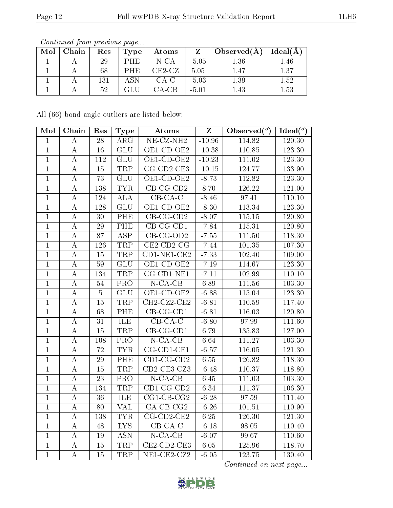| Mol | ${\rm Chain}$ | Res | Type | Atoms    |         | Observed $(A)$ | Ideal(A  |
|-----|---------------|-----|------|----------|---------|----------------|----------|
|     |               | 29  | PHE  | N-CA     | $-5.05$ | 1.36           | .46      |
|     |               | 68  | PHE  | $CE2-CZ$ | 5.05    | 1.47           | 1.37     |
|     |               | 131 |      | CA-C     | $-5.03$ | 1.39           | $1.52\,$ |
|     |               | 52  |      | CA-CB    | $-5.01$ |                | $1.53\,$ |

Continued from previous page...

All (66) bond angle outliers are listed below:

| Mol            | Chain              | Res             | <b>Type</b>               | Atoms                       | $\overline{z}$ | Observed $\binom{o}{c}$ | Ideal( $^o$ )       |
|----------------|--------------------|-----------------|---------------------------|-----------------------------|----------------|-------------------------|---------------------|
| $\mathbf{1}$   | $\boldsymbol{A}$   | 28              | $\rm{ARG}$                | $NE- CZ-NH2$                | $-10.96$       | 114.82                  | 120.30              |
| $\mathbf{1}$   | $\boldsymbol{A}$   | 16              | $\overline{\text{GLU}}$   | $OE1$ -CD-OE2               | $-10.38$       | 110.85                  | 123.30              |
| $\mathbf{1}$   | $\boldsymbol{A}$   | 112             | $\overline{GLU}$          | $OE1$ -CD-OE2               | $-10.23$       | 111.02                  | 123.30              |
| $\mathbf{1}$   | $\boldsymbol{A}$   | 15              | TRP                       | $CG-CD2-CE3$                | $-10.15$       | 124.77                  | 133.90              |
| $\overline{1}$ | $\overline{A}$     | 73              | $\overline{GLU}$          | $OE1$ -CD-OE2               | $-8.73$        | 112.82                  | 123.30              |
| $\mathbf{1}$   | A                  | 138             | <b>TYR</b>                | $CB-CG-CD2$                 | 8.70           | 126.22                  | 121.00              |
| $\overline{1}$ | А                  | 124             | $\overline{ALA}$          | $\overline{\text{CB-CA-C}}$ | $-8.46$        | 97.41                   | 110.10              |
| $\overline{1}$ | А                  | 128             | $\overline{\mathrm{GLU}}$ | $OE1$ -CD-OE2               | $-8.30$        | 113.34                  | 123.30              |
| $\overline{1}$ | $\boldsymbol{A}$   | $\overline{30}$ | <b>PHE</b>                | $CB-CG-CD2$                 | $-8.07$        | 115.15                  | 120.80              |
| $\overline{1}$ | $\boldsymbol{A}$   | 29              | $\overline{\rm PHE}$      | $CB-CG-CD1$                 | $-7.84$        | 115.31                  | 120.80              |
| $\mathbf{1}$   | $\boldsymbol{A}$   | 87              | $\overline{\text{ASP}}$   | $CB-CG-OD2$                 | $-7.55$        | 111.50                  | 118.30              |
| $\overline{1}$ | $\overline{\rm A}$ | 126             | <b>TRP</b>                | $CE2$ -CD2-CG               | $-7.44$        | 101.35                  | 107.30              |
| $\mathbf{1}$   | $\boldsymbol{A}$   | 15              | <b>TRP</b>                | $CD1-NE1-CE2$               | $-7.33$        | 102.40                  | 109.00              |
| $\mathbf{1}$   | $\boldsymbol{A}$   | $\overline{59}$ | $\overline{\mathrm{GLU}}$ | $OE1$ -CD-OE2               | $-7.19$        | 114.67                  | 123.30              |
| $\mathbf{1}$   | $\boldsymbol{A}$   | 134             | <b>TRP</b>                | $CG-CD1-NE1$                | $-7.11$        | 102.99                  | 110.10              |
| $\overline{1}$ | $\boldsymbol{A}$   | 54              | PRO                       | $N$ -CA-CB                  | 6.89           | 111.56                  | 103.30              |
| $\mathbf{1}$   | $\boldsymbol{A}$   | $\overline{5}$  | GLU                       | $OE1$ -CD-OE2               | $-6.88$        | 115.04                  | 123.30              |
| $\overline{1}$ | $\boldsymbol{A}$   | $\overline{15}$ | <b>TRP</b>                | $CH2-CZ2-CE2$               | $-6.81$        | 110.59                  | 117.40              |
| $\mathbf{1}$   | А                  | 68              | PHE                       | $CB-CG-CD1$                 | $-6.81$        | 116.03                  | 120.80              |
| $\overline{1}$ | $\boldsymbol{A}$   | 31              | <b>ILE</b>                | $CB-CA-C$                   | $-6.80$        | 97.99                   | 111.60              |
| $\mathbf{1}$   | $\boldsymbol{A}$   | 15              | <b>TRP</b>                | $CB-CG-CD1$                 | 6.79           | 135.83                  | 127.00              |
| $\overline{1}$ | $\boldsymbol{A}$   | 108             | <b>PRO</b>                | $N$ -CA-CB                  | 6.64           | 111.27                  | 103.30              |
| $\mathbf{1}$   | А                  | 72              | ${\rm TYR}$               | CG-CD1-CE1                  | $-6.57$        | 116.05                  | 121.30              |
| $\overline{1}$ | $\overline{A}$     | $\overline{29}$ | <b>PHE</b>                | $CD1$ -CG-CD2               | 6.55           | 126.82                  | $118.\overline{30}$ |
| $\mathbf{1}$   | $\boldsymbol{A}$   | 15              | TRP                       | CD2-CE3-CZ3                 | $-6.48$        | $110.37\,$              | 118.80              |
| $\overline{1}$ | $\boldsymbol{A}$   | $\overline{23}$ | $\overline{\text{PRO}}$   | $N-\overline{CA-CB}$        | 6.45           | 111.03                  | 103.30              |
| $\overline{1}$ | A                  | 134             | <b>TRP</b>                | $CD1-CG-CD2$                | 6.34           | 111.37                  | 106.30              |
| $\overline{1}$ | $\boldsymbol{A}$   | $\overline{36}$ | ILE                       | $CG1$ -CB-CG2               | $-6.28$        | 97.59                   | 111.40              |
| $\mathbf{1}$   | $\boldsymbol{A}$   | $\overline{80}$ | <b>VAL</b>                | $CA$ -CB-CG <sub>2</sub>    | $-6.26$        | 101.51                  | 110.90              |
| $\overline{1}$ | $\boldsymbol{A}$   | 138             | <b>TYR</b>                | $CG-CD2-CE2$                | 6.25           | 126.30                  | 121.30              |
| $\overline{1}$ | $\boldsymbol{A}$   | 48              | $\overline{\text{LYS}}$   | $CB-CA-C$                   | $-6.18$        | 98.05                   | 110.40              |
| $\overline{1}$ | $\boldsymbol{A}$   | <sup>19</sup>   | $\overline{ASN}$          | $N$ -CA-CB                  | $-6.07$        | 99.67                   | 110.60              |
| $\mathbf{1}$   | $\boldsymbol{A}$   | 15              | TRP                       | $CE2$ -CD2-CE3              | 6.05           | 125.96                  | 118.70              |
| $\overline{1}$ | $\boldsymbol{A}$   | $\overline{15}$ | <b>TRP</b>                | $NE1$ -CE2-CZ2              | $-6.05$        | 123.75                  | 130.40              |

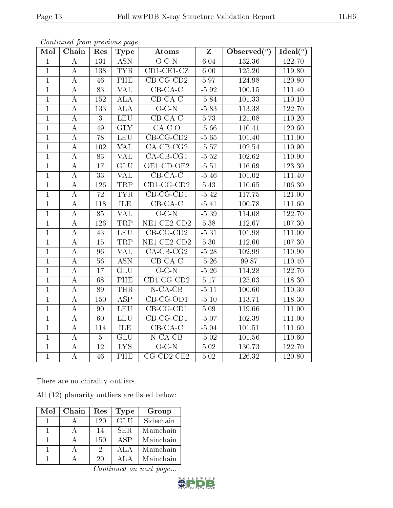| Mol            | Chain            | Res             | <b>Type</b>             | Atoms                         | $\mathbf{Z}$       | Observed $(°)$      | Ideal $(°)$ |
|----------------|------------------|-----------------|-------------------------|-------------------------------|--------------------|---------------------|-------------|
| $\mathbf{1}$   | $\bf{A}$         | 131             | $\overline{ASN}$        | $O-C-N$                       | 6.04               | 132.36              | 122.70      |
| $\overline{1}$ | $\bf{A}$         | 138             | <b>TYR</b>              | $CD1-CE1-CZ$                  | 6.00               | 125.20              | 119.80      |
| $\overline{1}$ | $\bf{A}$         | 46              | <b>PHE</b>              | $CB-CG-CD2$                   | 5.97               | 124.98              | 120.80      |
| $\overline{1}$ | $\boldsymbol{A}$ | 83              | <b>VAL</b>              | $\overline{\text{CB-CA-C}}$   | $-5.92$            | 100.15              | 111.40      |
| $\overline{1}$ | $\overline{A}$   | 152             | $\overline{ALA}$        | $CB-CA-C$                     | $-5.84$            | 101.33              | 110.10      |
| $\mathbf{1}$   | $\boldsymbol{A}$ | 133             | <b>ALA</b>              | $O-C-N$                       | $-5.83$            | 113.38              | 122.70      |
| $\mathbf{1}$   | $\bf{A}$         | 3               | <b>LEU</b>              | $CB$ -CA-C                    | 5.73               | 121.08              | 110.20      |
| $\mathbf{1}$   | $\bf{A}$         | 49              | GLY                     | $CA-C-O$                      | $-5.66$            | 110.41              | 120.60      |
| $\mathbf{1}$   | $\bf{A}$         | 78              | <b>LEU</b>              | $\overline{\text{CB-CG-CD2}}$ | $-5.65$            | 101.40              | 111.00      |
| $\overline{1}$ | $\overline{A}$   | 102             | $\overline{\text{VAL}}$ | $CA-CB-CG2$                   | $-5.57$            | 102.54              | 110.90      |
| $\overline{1}$ | $\bf{A}$         | 83              | <b>VAL</b>              | $\overline{CA-CB-CG1}$        | $-5.52$            | 102.62              | 110.90      |
| $\overline{1}$ | $\boldsymbol{A}$ | $\overline{17}$ | GLU                     | $OE1$ -CD-OE2                 | $-5.51$            | 116.69              | 123.30      |
| $\overline{1}$ | $\bf{A}$         | 33              | <b>VAL</b>              | $CB-CA-C$                     | $-5.46$            | 101.02              | 111.40      |
| $\mathbf{1}$   | $\bf{A}$         | 126             | <b>TRP</b>              | $CD1$ -CG-CD2                 | $\overline{5.43}$  | 110.65              | 106.30      |
| $\overline{1}$ | $\bf{A}$         | $\overline{72}$ | <b>TYR</b>              | $CB-CG-CD1$                   | $-5.42$            | 117.75              | 121.00      |
| $\mathbf{1}$   | $\bf{A}$         | 118             | ILE                     | $CB-CA-C$                     | $-5.41$            | 100.78              | 111.60      |
| $\overline{1}$ | $\bf{A}$         | 85              | <b>VAL</b>              | $\overline{O-C-N}$            | $-5.39$            | 114.08              | 122.70      |
| $\overline{1}$ | $\bf{A}$         | 126             | <b>TRP</b>              | $NE1$ -CE2-CD2                | 5.38               | 112.67              | 107.30      |
| $\mathbf{1}$   | $\bf{A}$         | 43              | ${\rm LEU}$             | $CB-CG-CD2$                   | $-5.31$            | 101.98              | 111.00      |
| $\mathbf{1}$   | $\bf{A}$         | 15              | <b>TRP</b>              | $NE1$ -CE2-CD2                | 5.30               | 112.60              | 107.30      |
| $\mathbf{1}$   | $\bf{A}$         | 96              | $\overline{\text{VAL}}$ | $CA$ -CB-CG2                  | $-5.28$            | 102.99              | 110.90      |
| $\overline{1}$ | $\bf{A}$         | $\overline{56}$ | <b>ASN</b>              | $\overline{\text{CB-CA-C}}$   | $-5.26$            | 99.87               | 110.40      |
| $\mathbf{1}$   | $\bf{A}$         | 17              | <b>GLU</b>              | $O-C-N$                       | $-5.26$            | 114.28              | 122.70      |
| $\mathbf{1}$   | $\bf{A}$         | 68              | <b>PHE</b>              | $CD1$ -CG-CD2                 | $\overline{5.17}$  | 125.03              | 118.30      |
| $\overline{1}$ | $\overline{A}$   | 89              | <b>THR</b>              | $N$ -CA-CB                    | $-5.11$            | 100.60              | 110.30      |
| $\mathbf{1}$   | $\bf{A}$         | 150             | <b>ASP</b>              | $\overline{CB-CG-OD1}$        | $\overline{-5.10}$ | $\overline{1}13.71$ | 118.30      |
| $\overline{1}$ | $\bf{A}$         | 90              | <b>LEU</b>              | $CB-CG-CD1$                   | 5.09               | 119.66              | 111.00      |
| $\overline{1}$ | $\bf{A}$         | 60              | <b>LEU</b>              | $CB-CG-CD1$                   | $-5.07$            | 102.39              | 111.00      |
| $\overline{1}$ | $\overline{A}$   | 114             | <b>ILE</b>              | $CB$ -CA-C                    | $-5.04$            | 101.51              | 111.60      |
| $\overline{1}$ | $\bf{A}$         | $\overline{5}$  | <b>GLU</b>              | $N$ -CA-CB                    | $-5.02$            | $101.56\,$          | 110.60      |
| $\mathbf{1}$   | $\bf{A}$         | 12              | $\overline{\text{LYS}}$ | $\overline{O-C-N}$            | 5.02               | 130.73              | 122.70      |
| $\overline{1}$ | $\overline{A}$   | $\overline{46}$ | PHE                     | $CG$ -CD2-CE2                 | 5.02               | 126.32              | 120.80      |

There are no chirality outliers.

All (12) planarity outliers are listed below:

| Mol | Chain | Res | <b>Type</b>          | Group     |
|-----|-------|-----|----------------------|-----------|
|     |       | 120 | <b>GLU</b>           | Sidechain |
|     |       | 14  | SER.                 | Mainchain |
|     |       | 150 | ASP                  | Mainchain |
|     |       |     | ALA                  | Mainchain |
|     |       | 20  | $\Delta$ T. $\Delta$ | Mainchain |

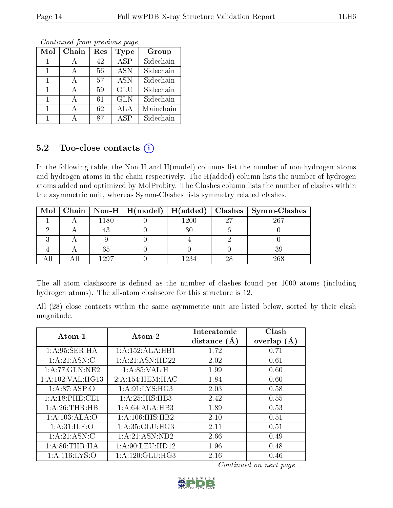| Mol          | Chain | Res | Type                    | Group     |
|--------------|-------|-----|-------------------------|-----------|
|              |       | 42  | $\overline{\text{ASP}}$ | Sidechain |
|              |       | 56  | <b>ASN</b>              | Sidechain |
| 1            |       | 57  | <b>ASN</b>              | Sidechain |
| $\mathbf{1}$ |       | 59  | GLU                     | Sidechain |
| $\mathbf{1}$ |       | 61  | <b>GLN</b>              | Sidechain |
| 1            |       | 62  | ALA                     | Mainchain |
|              |       | 87  | <b>ASP</b>              | Sidechain |

#### 5.2 Too-close contacts  $(i)$

In the following table, the Non-H and H(model) columns list the number of non-hydrogen atoms and hydrogen atoms in the chain respectively. The H(added) column lists the number of hydrogen atoms added and optimized by MolProbity. The Clashes column lists the number of clashes within the asymmetric unit, whereas Symm-Clashes lists symmetry related clashes.

| Mol |          |          |    | Chain   Non-H   H(model)   H(added)   Clashes   Symm-Clashes |
|-----|----------|----------|----|--------------------------------------------------------------|
|     | $1180\,$ | $1200\,$ | 97 | 267                                                          |
|     |          |          |    |                                                              |
|     |          |          |    |                                                              |
|     | 65       |          |    |                                                              |
|     | 1997     | 1234     | 28 | 268                                                          |

The all-atom clashscore is defined as the number of clashes found per 1000 atoms (including hydrogen atoms). The all-atom clashscore for this structure is 12.

All (28) close contacts within the same asymmetric unit are listed below, sorted by their clash magnitude.

| Atom-1<br>Atom-2 |                    | Interatomic<br>distance $(A)$ | Clash<br>overlap $(A)$ |
|------------------|--------------------|-------------------------------|------------------------|
| 1: A:95: SER: HA | 1:A:152:ALA:HB1    | 1.72                          | 0.71                   |
| 1: A:21: ASN: C  | 1:A:21:ASN:HD22    | 2.02                          | 0.61                   |
| 1:A:77:GLN:NE2   | 1: A:85:VAL:H      | 1.99                          | 0.60                   |
| 1:A:102:VAL:HG13 | 2:A:154:HEM:HAC    | 1.84                          | 0.60                   |
| 1: A:87:ASP:O    | 1: A:91: LYS: HG3  | 2.03                          | 0.58                   |
| 1:A:18:PHE:CE1   | 1:A:25:HIS:HB3     | 2.42                          | 0.55                   |
| 1: A:26:THR:HB   | 1:A:64:ALA:HB3     | 1.89                          | 0.53                   |
| 1:A:103:ALA:O    | 1:A:106:HIS:HB2    | 2.10                          | 0.51                   |
| 1: A:31: ILE: O  | 1: A:35: GLU:HG3   | 2.11                          | 0.51                   |
| 1: A:21: ASN: C  | 1:A:21:ASN:ND2     | 2.66                          | 0.49                   |
| 1:A:86:THR:HA    | 1: A:90: LEU: HD12 | 1.96                          | 0.48                   |
| 1: A:116: LYS:O  | 1:A:120:GLU:HG3    | 2.16                          | 0.46                   |

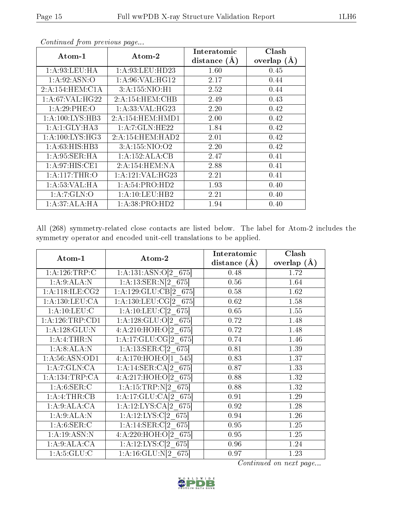| $\boldsymbol{\mathrm{Atom}\text{-}1}$ | $\boldsymbol{\mathrm{Atom}\text{-}2}$ | Interatomic    | Clash           |
|---------------------------------------|---------------------------------------|----------------|-----------------|
|                                       |                                       | distance $(A)$ | overlap $(\AA)$ |
| 1: A:93:LEU:HA                        | 1: A:93:LEU:HD23                      | 1.60           | 0.45            |
| 1: A:92: ASN:O                        | 1: A:96: VAL:HG12                     | 2.17           | 0.44            |
| 2:A:154:HEM:CAA                       | 3:A:155:NIO:H1                        | 2.52           | 0.44            |
| 1: A:67: VAL:HG22                     | 2:A:154:HEM:CHB                       | 2.49           | 0.43            |
| 1:A:29:PHE:O                          | 1: A: 33: VAL:HG23                    | 2.20           | 0.42            |
| 1:A:100:LYS:HB3                       | 2:A:154:HEM:HMD1                      | 2.00           | 0.42            |
| 1:A:1:GLY:HA3                         | 1:A:7:GLN:HE22                        | 1.84           | 0.42            |
| 1: A:100: LYS: HG3                    | 2:A:154:HEM:HAD2                      | 2.01           | 0.42            |
| 1: A:63: HIS: HB3                     | 3:A:155:NIO:O2                        | 2.20           | 0.42            |
| 1: A:95: SER: HA                      | 1:A:152:ALA:CB                        | 2.47           | 0.41            |
| 1: A:97: HIS: CE1                     | 2:A:154:HEM:NA                        | 2.88           | 0.41            |
| 1: A:117:THR:O                        | 1: A:121: VAL:HG23                    | 2.21           | 0.41            |
| 1: A:53: VAL:HA                       | 1:A:54:PRO:HD2                        | 1.93           | 0.40            |
| 1:A:7:GLN:O                           | 1: A:10:LEU:HB2                       | 2.21           | 0.40            |
| 1:A:37:ALA:HA                         | 1:A:38:PRO:HD2                        | 1.94           | 0.40            |

All (268) symmetry-related close contacts are listed below. The label for Atom-2 includes the symmetry operator and encoded unit-cell translations to be applied.

| Atom-1                     | Atom-2                 | Interatomic    | Clash         |
|----------------------------|------------------------|----------------|---------------|
|                            |                        | distance $(A)$ | overlap $(A)$ |
| 1:A:126:TRP:C              | 1:A:131:ASN:O[2 675]   | 0.48           | 1.72          |
| 1: A:9:ALA:N               | 1:A:13:SER:N[2 675]    | 0.56           | 1.64          |
| 1:A:118:ILE:CG2            | 1:A:129:GLU:CB[2 675]  | 0.58           | 1.62          |
| 1: A: 130: LEU: CA         | 1:A:130:LEU:CG[2 675]  | 0.62           | 1.58          |
| 1: A: 10: LEU: C           | 1:A:10:LEU:C[2 675]    | 0.65           | 1.55          |
| 1:A:126:TRP:CD1            | 1:A:128:GLU:O[2 675]   | 0.72           | 1.48          |
| $1:A:128:GL\overline{U:N}$ | 4:A:210:HOH:O[2 675]   | 0.72           | 1.48          |
| 1:A:4:THR:N                | 1:A:17:GLU:CG[2 675]   | 0.74           | 1.46          |
| 1: A:8:ALA:N               | 1:A:13:SER:C[2 675]    | 0.81           | 1.39          |
| 1:A:56:ASN:OD1             | 4:A:170:HOH:O[1 545]   | 0.83           | 1.37          |
| 1:A:7:GLN:CA               | 1:A:14:SER:CA[2 675]   | 0.87           | 1.33          |
| 1:A:134:TRP:CA             | 4:A:217:HOH:O[2 675]   | 0.88           | 1.32          |
| 1: A:6: SER: C             | 1:A:15:TRP:N[2 675]    | 0.88           | 1.32          |
| 1: A: 4: THEN: CB          | 1:A:17:GLU:CA[2 675]   | 0.91           | 1.29          |
| 1:A:9:ALA:CA               | 1:A:12:LYS:CA[2 675]   | 0.92           | 1.28          |
| 1: A:9:ALA:N               | 1:A:12:LYS:C[2 675]    | 0.94           | 1.26          |
| 1: A:6: SER:C              | 1:A:14:SER:C[2 675]    | 0.95           | 1.25          |
| 1: A:19: ASN:N             | $4:A:220:HOH:O[2_675]$ | 0.95           | 1.25          |
| 1:A:9:ALA:CA               | 1:A:12:LYS:C[2 675]    | 0.96           | 1.24          |
| 1: A: 5: GLU: C            | 1:A:16:GLU:N[2 675]    | 0.97           | 1.23          |

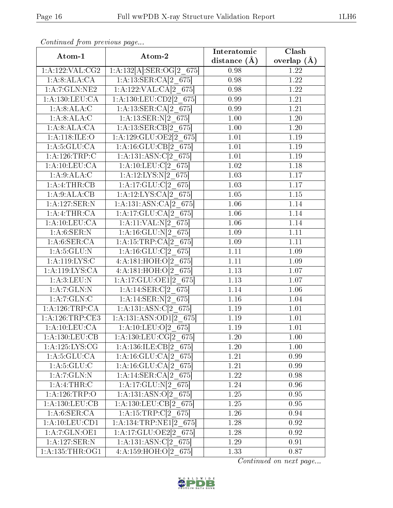| Atom-1                              |                            | Interatomic       | Clash             |
|-------------------------------------|----------------------------|-------------------|-------------------|
|                                     | Atom-2                     | distance $(A)$    | overlap $(A)$     |
| 1: A: 122: VAL: CG2                 | $1:A:132[A].SER:OG[2_675]$ | 0.98              | 1.22              |
| 1:A:8:ALA:CA                        | $1:A:13:SER:CA[2_675]$     | 0.98              | $\overline{1.22}$ |
| 1:A:7:GLN:NE2                       | 1:A:122:VAL:CA[2 675]      | 0.98              | 1.22              |
| 1: A: 130: LEU: CA                  | 1:A:130:LEU:CD2[2 675]     | 0.99              | 1.21              |
| 1:A:8:ALA:C                         | 1:A:13:SER:CA[2 675]       | 0.99              | 1.21              |
| 1:A:8:ALA:C                         | $1:A:13:SER:N[2_675]$      | 1.00              | $1.20\,$          |
| 1:A:8:ALA:CA                        | $1:A:13:SER:CB[2_675]$     | 1.00              | 1.20              |
| 1: A:118: ILE: O                    | 1:A:129:GLU:OE2[2_675]     | 1.01              | 1.19              |
| 1: A:5: GLU:CA                      | $1:A:16:GLU:CB[2_675]$     | 1.01              | 1.19              |
| 1:A:126:TRP:C                       | $1:A:131:ASN:C[2_675]$     | 1.01              | 1.19              |
| 1: A: 10: LEU: CA                   | 1:A:10:LEU:C[2 675]        | 1.02              | 1.18              |
| 1:A:9:ALA:C                         | 1:A:12:LYS:N[2 675]        | $\overline{1.03}$ | 1.17              |
| 1: A: 4: THR: CB                    | $1:A:17:GLU:Cl2$ 675       | $\overline{1}.03$ | 1.17              |
| 1:A:9:ALA:CB                        | 1:A:12:LYS:CA[2 675]       | $\overline{1.05}$ | 1.15              |
| 1:A:127:SER:N                       | 1:A:131:ASN:CA[2 675]      | 1.06              | 1.14              |
| $1:A:4:\overline{THR:CA}$           | $1:A:17:GLU:CA[2_675]$     | 1.06              | 1.14              |
| 1: A: 10: LEU: CA                   | 1:A:11:VAL: N[2 675]       | 1.06              | 1.14              |
| 1: A:6: SER: N                      | 1:A:16:GLU:N[2 675]        | 1.09              | 1.11              |
| 1: A:6: SER:CA                      | 1:A:15:TRP:CA[2 675]       | 1.09              | 1.11              |
| 1: A:5: GLU: N                      | $1:A:16:GLU:Cl2$ 675       | 1.11              | 1.09              |
| 1: A:119: LYS:C                     | 4:A:181:HOH:O[2 675]       | 1.11              | 1.09              |
| 1:A:119:LYS:CA                      | 4:A:181:HOH:O[2 675]       | 1.13              | 1.07              |
| 1: A:3: LEU: N                      | 1:A:17:GLU:OE1[2 675]      | 1.13              | 1.07              |
| 1:A:7:GLN:N                         | 1:A:14:SER:C[2 675]        | 1.14              | 1.06              |
| 1:A:7:GLN:C                         | 1:A:14:SER:N[2 675]        | 1.16              | 1.04              |
| 1:A:126:TRP:CA                      | $1:A:131:ASN:C[2_675]$     | 1.19              | 1.01              |
| $1:A:126:TRP:\overline{\text{CE3}}$ | $1:A:131:ASN:OD1[2_675]$   | $\overline{1}.19$ | 1.01              |
| 1: A: 10: LEU: CA                   | $1:A:10:LEU:O[2]$ 675      | 1.19              | $\overline{1.01}$ |
| 1: A: 130: LEU: CB                  | $1:A:130:LEU:CG[2_675]$    | 1.20              | 1.00              |
| 1: A: 125: LYS: CG                  | 1:A:136:ILE:CB[2 675]      | 1.20              | 1.00              |
| 1: A:5: GLU:CA                      | 1: A: 16: GLU: CA[2 675]   | 1.21              | 0.99              |
| 1: A:5: GLU: C                      | 1:A:16:GLU:CA[2 675]       | 1.21              | 0.99              |
| 1: A: 7: GLN:N                      | 1:A:14:SER:CA[2 675]       | 1.22              | 0.98              |
| 1: A: 4: THEN: C                    | 1:A:17:GLU:N[2 675]        | 1.24              | 0.96              |
| 1:A:126:TRP:O                       | 1:A:131:ASN:O[2 675]       | 1.25              | 0.95              |
| 1:A:130:LEU:CB                      | 1:A:130:LEU:CB[2 675]      | 1.25              | 0.95              |
| 1:A:6:SER:CA                        | 1:A:15:TRP:C[2 675]        | 1.26              | 0.94              |
| 1: A: 10: LEU: CD1                  | 1:A:134:TRP:NE1[2 675]     | 1.28              | 0.92              |
| 1:A:7:GLN:OE1                       | 1:A:17:GLU:OE2[2 675]      | 1.28              | 0.92              |
| 1:A:127:SER:N                       | 1:A:131:ASN:C[2 675]       | 1.29              | 0.91              |
| 1: A: 135: THR: OG1                 | 4:A:159:HOH:O[2_675]       | 1.33              | 0.87              |

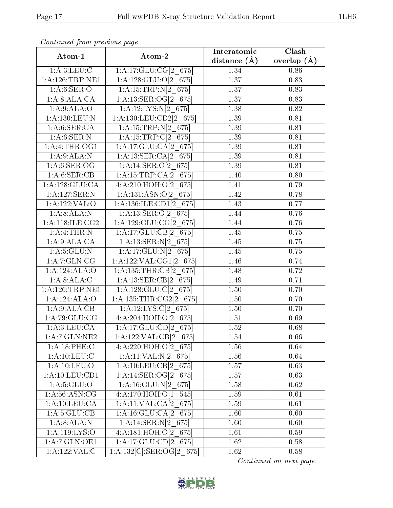| Atom-1                       | Atom-2                       | Interatomic       | Clash             |
|------------------------------|------------------------------|-------------------|-------------------|
|                              |                              | distance $(A)$    | overlap $(A)$     |
| 1: A:3: LEU: C               | 1:A:17:GLU:CG[2 675]         | 1.34              | 0.86              |
| 1:A:126:TRP:NE1              | 1:A:128:GLU:O[2 675]         | 1.37              | 0.83              |
| 1: A:6: SER:O                | 1:A:15:TRP:N[2 675]          | 1.37              | 0.83              |
| 1:A:8:ALA:CA                 | 1:A:13:SER:OG[2 675]         | 1.37              | 0.83              |
| 1: A:9: ALA:O                | 1:A:12:LYS:N[2 675]          | 1.38              | 0.82              |
| 1:A:130:LEU:N                | $1:A:130:LEU:CD2[2_675]$     | 1.39              | 0.81              |
| 1: A:6: SER:CA               | 1:A:15:TRP:N[2 675]          | 1.39              | 0.81              |
| 1: A:6: SER: N               | $1:A:15:TRP:Cl2$ 675         | 1.39              | 0.81              |
| 1: A:4:THR:OG1               | 1:A:17:GLU:CA[2 675]         | 1.39              | 0.81              |
| 1:A:9:ALA:N                  | $1:A:13:SER:CA[2_675]$       | 1.39              | 0.81              |
| 1: A:6: SER:OG               | 1:A:14:SER:O[2 675]          | 1.39              | 0.81              |
| 1:A:6:SER:CB                 | $1:A:15:TRP:CA[2_675]$       | 1.40              | 0.80              |
| 1:A:128:GLU:CA               | 4:A:210:HOH:O[2 675]         | 1.41              | 0.79              |
| 1:A:127:SER:N                | $1:A:131:ASN:O[2_675]$       | $\overline{1.42}$ | 0.78              |
| 1:A:122:VAL:O                | 1:A:136:ILE:CD1[2]675]       | 1.43              | 0.77              |
| 1:A:8:ALA:N                  | 1:A:13:SER:O[2 675]          | 1.44              | 0.76              |
| $1:A:\overline{118:ILE:CG2}$ | 1:A:129:GLU:CG[2 675]        | 1.44              | 0.76              |
| 1:A:4:THR:N                  | 1:A:17:GLU:CB[2 675]         | 1.45              | 0.75              |
| 1:A:9:ALA:CA                 | $1:A:13:SER:N[2_675]$        | 1.45              | 0.75              |
| 1: A:5: GLU:N                | 1:A:17:GLU:N[2 675]          | 1.45              | 0.75              |
| 1:A:7:GLN:CG                 | 1:A:122:VAL:CG1[2 675]       | 1.46              | 0.74              |
| 1:A:124:ALA:O                | 1:A:135:THR:CB[2 675]        | 1.48              | 0.72              |
| 1:A:8:ALA:C                  | 1:A:13:SER:CB[2 675]         | 1.49              | 0.71              |
| 1: A: 126: TRP: NE1          | $1:A:128:GLU:Cl2$ 675        | 1.50              | 0.70              |
| 1:A:124:ALA:O                | $1:A:135:THR:CG2[2_675]$     | 1.50              | 0.70              |
| 1:A:9:ALA:CB                 | 1:A:12:LYS:C[2 675]          | 1.50              | $\overline{0.70}$ |
| 1:A:79:GLU:CG                | $4:A:204:HOH:O[2]$ 675       | 1.51              | 0.69              |
| 1:A:3:LEU:CA                 | 1:A:17:GLU:CD[2 675]         | $\overline{1}.52$ | 0.68              |
| 1: A:7: GLN: NE2             | $1:A:122:VAL:CB[2_675]$      | 1.54              | 0.66              |
| 1:A:18:PHE:C                 | 4:A:220:HOH:O[2 675]         | 1.56              | 0.64              |
| 1: A: 10: LEU: C             | 1:A:11:VAL:N[2 675]          | 1.56              | 0.64              |
| 1: A:10:LEV:O                | 1:A:10:LEU:CB[2 675]         | 1.57              | 0.63              |
| 1: A: 10: LEU: CD1           | 1:A:14:SER:OG[2 675]         | 1.57              | 0.63              |
| 1: A:5: GLU:O                | 1:A:16:GLU:N[2 675]          | 1.58              | 0.62              |
| 1: A:56: ASN: CG             | 4:A:170:HOH:O[1 545]         | 1.59              | 0.61              |
| 1: A: 10: LEU: CA            | 1:A:11:VAL:CA[2 675]         | 1.59              | 0.61              |
| $1:A:5:\overline{GLU:CB}$    | 1:A:16:GLU:CA[2 675]         | 1.60              | 0.60              |
| 1:A:8:ALA:N                  | 1:A:14:SER:N[2 675]          | 1.60              | 0.60              |
| 1:A:119:LYS:O                | 4:A:181:HOH:O[2 675]         | 1.61              | 0.59              |
| 1:A:7:GLN:OE1                | 1:A:17:GLU:CD[2 675]         | 1.62              | 0.58              |
| 1:A:122:VAL:CC               | $1:A:132[C]:\nSER:OG[2_675]$ | 1.62              | 0.58              |

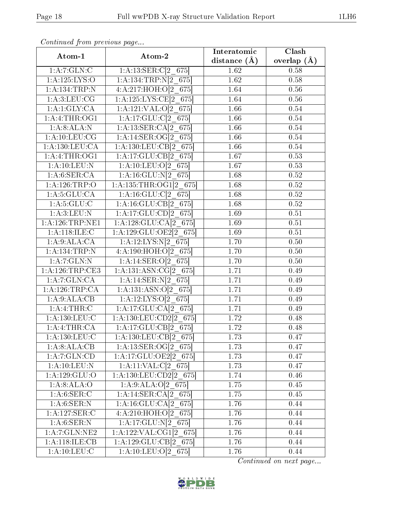| Continued from previous page |                                                                |                               |                        |  |
|------------------------------|----------------------------------------------------------------|-------------------------------|------------------------|--|
| Atom-1                       | Atom-2                                                         | Interatomic<br>distance $(A)$ | Clash<br>overlap $(A)$ |  |
| 1:A:7:GLN:C                  | 1:A:13:SER:C[2 675]                                            | 1.62                          | 0.58                   |  |
| 1: A: 125: LYS: O            | 1:A:134:TRP:N[2 675]                                           | 1.62                          | 0.58                   |  |
| 1:A:134:TRP:N                | 4:A:217:HOH:O[2 675]                                           | 1.64                          | 0.56                   |  |
| 1: A:3: LEU: CG              | 1:A:125:LYS:CE[2 675]                                          | 1.64                          | 0.56                   |  |
| 1:A:1:GLY:CA                 | 1:A:121:VAL:O[2 675]                                           | 1.66                          | 0.54                   |  |
| 1:A:4:THR:OG1                | $1:A:17:GLU:Cl2$ 675                                           | 1.66                          | 0.54                   |  |
| 1:A:8:ALA:N                  | 1:A:13:SER:CA[2 675]                                           | 1.66                          | 0.54                   |  |
| 1:A:10:LEU:CG                | 1:A:14:SER:OG[2 675]                                           | 1.66                          | 0.54                   |  |
| 1:A:130:LEU:CA               | 1:A:130:LEU:CB[2 675]                                          | 1.66                          | 0.54                   |  |
| 1:A:4:THR:OG1                | 1:A:17:GLU:CB[2 675]                                           | 1.67                          | 0.53                   |  |
| 1: A:10:LEU: N               | 1:A:10:LEU:O[2 675]                                            | 1.67                          | 0.53                   |  |
| 1: A:6: SER:CA               | 1:A:16:GLU:N[2 675]                                            | 1.68                          | 0.52                   |  |
| 1:A:126:TRP:O                | $1:$ A:135:THR:OG1[2_675]                                      | 1.68                          | 0.52                   |  |
| 1: A:5: GLU:CA               | $1:A:16:GLU:Cl2$ 675                                           | 1.68                          | 0.52                   |  |
| 1: A:5: GLU: C               | 1:A:16:GLU:CB[2 675]                                           | 1.68                          | 0.52                   |  |
| 1: A:3: LEU: N               | 1:A:17:GLU:CD[2 675]                                           | 1.69                          | 0.51                   |  |
| 1:A:126:TRP:NE1              | 1:A:128:GLU:CA[2 675]                                          | 1.69                          | 0.51                   |  |
| 1: A:118: ILE:C              | 1:A:129:GLU:OE2[2 675]                                         | 1.69                          | 0.51                   |  |
| 1:A:9:ALA:CA                 | 1:A:12:LYS:N[2 675]                                            | 1.70                          | 0.50                   |  |
| 1:A:134:TRP:N                | 4:A:190:HOH:O[2 675]                                           | 1.70                          | 0.50                   |  |
| 1: A: 7: GLN:N               | 1:A:14:SER:O[2 675]                                            | 1.70                          | 0.50                   |  |
| 1: A:126:TRP:CE3             | 1:A:131:ASN:CG[2 675]                                          | 1.71                          | 0.49                   |  |
| 1:A:7:GLN:CA                 | 1:A:14:SER:N[2 675]                                            | 1.71                          | 0.49                   |  |
| 1:A:126:TRP:CA               | 1:A:131:ASN:O[2 675]                                           | 1.71                          | 0.49                   |  |
| 1:A:9:ALA:CB                 | 1:A:12:LYS:O[2 675]                                            | 1.71                          | 0.49                   |  |
| 1: A:4:THR: C                | 1:A:17:GLU:CA[2 675]                                           | 1.71                          | 0.49                   |  |
| 1:A:130:LEU:C                | 1:A:130:LEU:CD2[2 675]                                         | 1.72                          | 0.48                   |  |
| 1:A:4:THR:CA                 | $\overline{1\text{:}A\text{:}17\text{:}GLU\text{:}CB}[2\_675]$ | 1.72                          | 0.48                   |  |
| 1: A: 130: LEU: C            | $1:A:130:LEU:CB[2_675]$                                        | 1.73                          | 0.47                   |  |
| 1:A:8:ALA:CB                 | 1:A:13:SER:OG[2_675]                                           | 1.73                          | 0.47                   |  |
| 1: A: 7: GLN: CD             | 1:A:17:GLU:OE2[2_675]                                          | 1.73                          | 0.47                   |  |
| 1: A:10:LEU: N               | $1:A:11:VAL:Cl2$ 675                                           | 1.73                          | 0.47                   |  |
| 1:A:129:GLU:O                | 1:A:130:LEU:CD2[2_675]                                         | $1.74\,$                      | 0.46                   |  |
| 1:A:8:ALA:O                  | 1:A:9:ALA: $O[2 \ 675]$                                        | $1.75\,$                      | 0.45                   |  |
| 1: A:6: SER:C                | $1:A:14:\overline{\text{SER}:CA}[2\_675]$                      | $1.75\,$                      | 0.45                   |  |
| 1: A:6: SER: N               | $1:A:16:GLU:CA[2_675]$                                         | 1.76                          | 0.44                   |  |
| 1:A:127:SER:C                | $4:\overline{A}:210:\overline{HOH}:O[2_675]$                   | 1.76                          | 0.44                   |  |
| 1: A:6: SER: N               | $1:A:17:GLU:N[2_675]$                                          | 1.76                          | 0.44                   |  |
| 1: A: 7: GLN: NE2            | 1:A:122:VAL:CG1[2_675]                                         | 1.76                          | 0.44                   |  |
| 1: A:118: ILE: CB            | $1:A:129:GLU:CB[2_675]$                                        | 1.76                          | 0.44                   |  |
| 1: A: 10: LEU: C             | $1:A:10:LEU:O[2_675]$                                          | 1.76                          | 0.44                   |  |

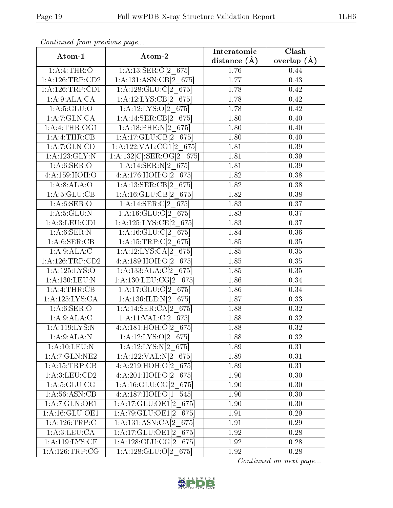| onning on procedule page<br>Atom-1 | Atom-2                                    | Interatomic    | $\overline{\text{Clash}}$ |
|------------------------------------|-------------------------------------------|----------------|---------------------------|
|                                    |                                           | distance $(A)$ | overlap $(\AA)$           |
| 1: A:4:THR:O                       | $1:A:13:SER:O[2_675]$                     | 1.76           | 0.44                      |
| 1:A:126:TRP:CD2                    | 1:A:131:ASN:CB[2 675]                     | 1.77           | 0.43                      |
| 1: A: 126: TRP: CD1                | $1:A:128:GLU:Cl2$ 675                     | 1.78           | 0.42                      |
| 1:A:9:ALA:CA                       | 1:A:12:LYS:CB[2 675]                      | 1.78           | 0.42                      |
| 1: A:5: GLU:O                      | $1:A:12:LYS:O[2_675]$                     | 1.78           | 0.42                      |
| 1:A:7:GLN:CA                       | 1:A:14:SER:CB[2 675]                      | 1.80           | 0.40                      |
| 1: A:4:THR:OG1                     | $1:A:18:PHE:N[2_675]$                     | 1.80           | 0.40                      |
| 1:A:4:THR:CB                       | $1:A:17:GLU:CB[2_675]$                    | 1.80           | 0.40                      |
| 1:A:7:GLN:CD                       | $1:A:122:VAL:CG1[2_675]$                  | 1.81           | 0.39                      |
| 1: A: 123: GLY: N                  | $1:A:132[C]:\nSER:OG[2_675]$              | 1.81           | 0.39                      |
| 1: A:6: SER:O                      | 1:A:14:SER:N[2 675]                       | 1.81           | 0.39                      |
| 4:A:159:HOH:O                      | 4:A:176:HOH:O[2 675]                      | 1.82           | 0.38                      |
| 1:A:8:ALA:O                        | 1:A:13:SER:CB[2 675]                      | 1.82           | 0.38                      |
| 1: A:5: GLU:CB                     | 1:A:16:GLU:CB[2 675]                      | 1.82           | 0.38                      |
| 1: A:6: SER:O                      | 1:A:14:SER:C[2 675]                       | 1.83           | 0.37                      |
| 1: A:5: GLU:N                      | 1:A:16:GLU:O[2 675]                       | 1.83           | 0.37                      |
| 1: A:3: LEU: CD1                   | 1:A:125:LYS:CE[2 675]                     | 1.83           | 0.37                      |
| 1: A:6: SER: N                     | $1:A:16:GLU:Cl2$ 675                      | 1.84           | 0.36                      |
| 1: A:6: SER:CB                     | 1:A:15:TRP:C[2 675]                       | 1.85           | $0.35\,$                  |
| 1:A:9:ALA:C                        | $1:A:12:LYS:CA[2_675]$                    | 1.85           | $0.35\,$                  |
| 1: A: 126: TRP: CD2                | 4:A:189:HOH:O[2 675]                      | 1.85           | 0.35                      |
| 1: A: 125: LYS: O                  | 1:A:133:ALA:C[2 675]                      | 1.85           | $0.35\,$                  |
| 1:A:130:LEU:N                      | 1: A: 130: LEU: CG[2 675]                 | 1.86           | 0.34                      |
| 1: A: 4: THEN: CB                  | 1:A:17:GLU:O[2 675]                       | 1.86           | 0.34                      |
| 1:A:125:LYS:CA                     | 1:A:136:ILE:N[2 675]                      | 1.87           | 0.33                      |
| 1: A:6: SER:O                      | $1:A:14:SER:CA[2_675]$                    | 1.88           | 0.32                      |
| 1:A:9:ALA:C                        | 1:A:11:VAL:Cl <sub>2</sub> 675            | 1.88           | 0.32                      |
| 1: A:119: LYS:N                    | 4:A:181:HOH:O[2 675]                      | 1.88           | 0.32                      |
| 1: A:9:ALA:N                       | 1:A:12:LYS:O[2 675]                       | 1.88           | 0.32                      |
| 1: A: 10: LEU: N                   | $1:A:12:\overline{\text{LYS:}N[2 \ 675]}$ | 1.89           | 0.31                      |
| 1:A:7:GLN:NE2                      | $1:A:122:VAL:N[2_675]$                    | 1.89           | 0.31                      |
| 1:A:15:TRP:CB                      | 4:A:219:HOH:O[2 675]                      | 1.89           | 0.31                      |
| 1: A:3: LEU: CD2                   | 4:A:201:HOH:O[2 675]                      | 1.90           | 0.30                      |
| 1: A:5: GLU: CG                    | $1:\!A:\!16:\!GLU:\!CG[2\;675]$           | 1.90           | 0.30                      |
| 1: A:56: ASN:CB                    | 4:A:187:HOH:O[1 545]                      | 1.90           | 0.30                      |
| 1:A:7:GLN:OE1                      | 1:A:17:GLU:OE1[2 675]                     | 1.90           | 0.30                      |
| 1:A:16:GLU:OE1                     | 1:A:79:GLU:OE1[2 675]                     | 1.91           | 0.29                      |
| 1: A:126:TRP:C                     | 1:A:131:ASN:CA[2 675]                     | 1.91           | 0.29                      |
| 1: A:3: LEU: CA                    | 1:A:17:GLU:OE1[2 675]                     | $1.92\,$       | 0.28                      |
| 1: A:119:LYS:CE                    | 1:A:128:GLU:CG[2 675]                     | 1.92           | 0.28                      |
| 1: A:126:TRP:CG                    | 1:A:128:GLU:O[2 675]                      | 1.92           | 0.28                      |

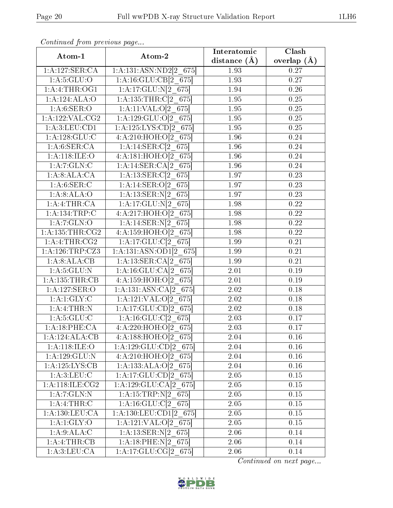| Atom-1                    | Atom-2                                  | Interatomic<br>distance $(A)$ | Clash<br>overlap $(\AA)$ |
|---------------------------|-----------------------------------------|-------------------------------|--------------------------|
|                           | 1:A:127:SER:CA   1:A:131:ASN:ND2[2 675] | 1.93                          | 0.27                     |
| 1: A:5: GLU:O             | 1:A:16:GLU:CB[2 675]                    | 1.93                          | 0.27                     |
| 1:A:4:THR:OG1             | 1:A:17:GLU:N[2 675]                     | 1.94                          | 0.26                     |
| 1:A:124:ALA:O             | 1:A:135:THR: $C[2 675]$                 | 1.95                          | 0.25                     |
| 1: A:6: SER:O             | 1:A:11:VAL:O[2 675]                     | 1.95                          | 0.25                     |
| 1:A:122:VAL:CG2           | 1:A:129:GLU:O[2 675]                    | 1.95                          | $0.25\,$                 |
| 1:A:3:LEU:CD1             | 1:A:125:LYS:CD[2 675]                   | 1.95                          | 0.25                     |
| 1: A:128: GLU: C          | $4:A:210:HOH:O[2_675]$                  | 1.96                          | $0.24\,$                 |
| $1:\overline{A:6:SER:CA}$ | 1:A:14:SER:C[2 675]                     | 1.96                          | 0.24                     |
| 1: A:118: ILE: O          | 4:A:181:HOH:O[2 675]                    | 1.96                          | 0.24                     |
| 1:A:7:GLN:C               | 1:A:14:SER:CA[2 675]                    | 1.96                          | 0.24                     |
| 1:A:8:ALA:CA              | 1:A:13:SER:C[2 675]                     | 1.97                          | 0.23                     |
| 1: A:6: SER: C            | 1:A:14:SER:O[2 675]                     | 1.97                          | 0.23                     |
| 1:A:8:ALA:O               | 1:A:13:SER:N[2 675]                     | $\overline{1.97}$             | $\overline{0.23}$        |
| 1:A:4:THR:CA              | 1:A:17:GLU:N[2 675]                     | 1.98                          | 0.22                     |
| 1:A:134:TRP:C             | 4:A:217:HOH:O[2 675]                    | 1.98                          | 0.22                     |
| 1: A: 7: GLN: O           | 1:A:14:SER:N[2 675]                     | 1.98                          | 0.22                     |
| 1:A:135:THR:CG2           | $4:A:159:HOH:O[2_675]$                  | 1.98                          | 0.22                     |
| 1: A:4:THR:CG2            | $1:A:17:GLU:Cl2$ 675                    | 1.99                          | $0.21\,$                 |
| 1:A:126:TRP:CZ3           | $1:A:131:ASN:OD1[2_675]$                | 1.99                          | 0.21                     |
| 1:A:8:ALA:CB              | 1:A:13:SER:CA[2 675]                    | 1.99                          | 0.21                     |
| 1: A:5: GLU: N            | 1:A:16:GLU:CA[2 675]                    | 2.01                          | 0.19                     |
| 1: A: 135: THR: CB        | 4:A:159:HOH:O[2 675]                    | 2.01                          | 0.19                     |
| 1:A:127:SER:O             | 1:A:131:ASN:CA[2 675]                   | 2.02                          | 0.18                     |
| 1: A:1: GLY: C            | 1:A:121:VAL:O[2 675]                    | $\overline{2.02}$             | 0.18                     |
| 1:A:4:THR:N               | 1:A:17:GLU:CD[2 675]                    | 2.02                          | $0.18\,$                 |
| 1: A:5: GLU: C            | $1:A:16:GLU:Cl2$ 675                    | 2.03                          | 0.17                     |
| 1: A:18:PHE:CA            | 4:A:220:HOH:O[2 675]                    | 2.03                          | 0.17                     |
| 1:A:124:ALA:CB            | 4:A:188:HOH:O[2 675]                    | 2.04                          | 0.16                     |
| 1: A:118: ILE: O          | 1:A:129:GLU:CD[2 675]                   | 2.04                          | 0.16                     |
| 1:A:129:GLU:N             | 4:A:210:HOH:O[2 675]                    | 2.04                          | $0.16\,$                 |
| 1: A: 125: LYS: CB        | 1:A:133:ALA:O[2 675]                    | 2.04                          | 0.16                     |
| 1: A:3: LEU: C            | 1:A:17:GLU:CD[2 675]                    | 2.05                          | 0.15                     |
| 1:A:118:ILE:CG2           | 1:A:129:GLU:CA[2 675]                   | $2.05\,$                      | 0.15                     |
| 1:A:7:GLN:N               | 1:A:15:TRP:N[2 675]                     | $2.05\,$                      | $0.15\,$                 |
| 1: A:4:THR:C              | $1:A:16:GLU:Cl2$ 675                    | 2.05                          | 0.15                     |
| 1: A: 130: LEU: CA        | 1:A:130:LEU:CD1[2 675]                  | 2.05                          | $0.15\,$                 |
| 1:A:1:GLY:O               | $1:A:121:VAL:0[2_675]$                  | 2.05                          | 0.15                     |
| 1:A:9:ALA:C               | 1:A:13:SER:N[2 675]                     | 2.06                          | 0.14                     |
| 1: A: 4: THEN: CB         | 1:A:18:PHE:N[2 675]                     | 2.06                          | 0.14                     |
| 1: A:3: LEU: CA           | 1:A:17:GLU:CG[2 675]                    | 2.06                          | 0.14                     |

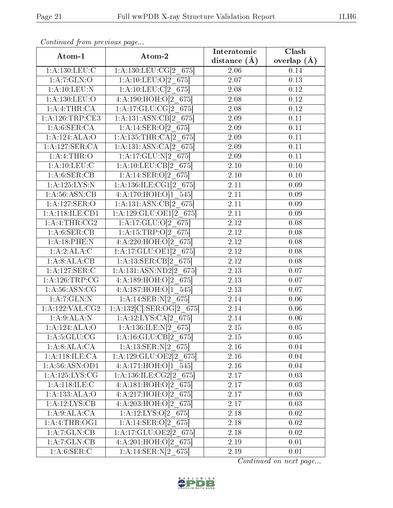| Atom-1              | Atom-2                       | Interatomic       | Clash           |
|---------------------|------------------------------|-------------------|-----------------|
|                     |                              | distance $(A)$    | overlap $(\AA)$ |
| 1: A: 130: LEU: C   | 1:A:130:LEU:CG[2 675]        | 2.06              | 0.14            |
| 1:A:7:GLN:O         | 1:A:10:LEU:O[2 675]          | 2.07              | 0.13            |
| 1: A:10:LEU:N       | 1:A:10:LEU:C[2 675]          | 2.08              | 0.12            |
| 1:A:130:LEU:O       | $4:A:190:HOH:O[2_675]$       | 2.08              | 0.12            |
| 1:A:4:THR:CA        | 1:A:17:GLU:CG[2 675]         | 2.08              | 0.12            |
| 1: A:126:TRP:CE3    | 1:A:131:ASN:CB[2 675]        | 2.09              | 0.11            |
| 1: A:6: SER:CA      | 1:A:14:SER:O[2 675]          | 2.09              | 0.11            |
| 1:A:124:ALA:O       | $1:A:135:THR:CA[2-675]$      | 2.09              | 0.11            |
| 1:A:127:SER:CA      | 1:A:131:ASN:CA[2 675]        | 2.09              | 0.11            |
| 1: A: 4: THEN: O    | 1:A:17:GLU:N[2 675]          | 2.09              | 0.11            |
| 1: A: 10: LEU: C    | 1:A:10:LEU:CB[2 675]         | 2.10              | 0.10            |
| 1: A:6: SER:CB      | 1:A:14:SER:O[2 675]          | 2.10              | 0.10            |
| 1: A: 125: LYS: N   | 1:A:136:ILE:CG1[2 675]       | 2.11              | 0.09            |
| 1: A:56: ASN:CB     | 4:A:170:HOH:O[1 545]         | 2.11              | 0.09            |
| 1:A:127:SER:O       | 1:A:131:ASN:CB[2 675]        | 2.11              | 0.09            |
| 1:A:118:ILE:CD1     | 1:A:129:GLU:OE1[2 675]       | 2.11              | 0.09            |
| 1: A:4:THR:CG2      | 1:A:17:GLU:O[2 675]          | 2.12              | 0.08            |
| 1:A:6:SER:CB        | 1:A:15:TRP: $O[2 \ 675]$     | 2.12              | 0.08            |
| 1:A:18:PHE:N        | 4:A:220:HOH:O[2 675]         | 2.12              | 0.08            |
| 1:A:2:ALA:C         | 1:A:17:GLU:OE1[2 675]        | 2.12              | 0.08            |
| 1:A:8:ALA:CB        | 1:A:13:SER:CB[2 675]         | 2.12              | 0.08            |
| 1: A: 127: SER: C   | 1:A:131:ASN:ND2[2 675]       | 2.13              | 0.07            |
| 1:A:126:TRP:CG      | 4:A:189:HOH:O[2_675]         | 2.13              | 0.07            |
| 1: A:56: ASN: CG    | 4:A:187:HOH:O[1 545]         | 2.13              | 0.07            |
| 1:A:7:GLN:N         | 1:A:14:SER:N[2 675]          | 2.14              | 0.06            |
| 1: A: 122: VAL: CG2 | $1:A:132[C]:\nSER:OG[2_675]$ | 2.14              | 0.06            |
| 1: A:9:ALA:N        | 1:A:12:LYS:CA[2 675]         | $\overline{2.14}$ | 0.06            |
| 1:A:124:ALA:O       | $1: A: 136: ILE: N[2_675]$   | 2.15              | 0.05            |
| 1: A:5: GLU:CG      | 1:A:16:GLU:CB[2_675]         | 2.15              | 0.05            |
| 1:A:8:ALA:CA        | 1:A:13:SER:N[2 675]          | 2.16              | 0.04            |
| 1: A:118: ILE: CA   | 1:A:129:GLU:OE2[2 675]       | $2.16\,$          | 0.04            |
| 1:A:56:ASN:OD1      | $4:A:171:HOH:O[1\ 545]$      | $2.16\,$          | 0.04            |
| 1: A: 125: LYS: CG  | 1:A:136:ILE:CG2[2_675]       | $2.\overline{17}$ | 0.03            |
| $1:$ A:118:ILE:C    | 4:A:181:HOH:O[2 675]         | 2.17              | 0.03            |
| 1:A:133:ALA:O       | 4:A:217:HOH:O[2 675]         | $2.17\,$          | 0.03            |
| 1:A:12:LYS:CB       | $4:A:203:HOH:O[2]$ 675       | 2.17              | 0.03            |
| 1: A:9: ALA: CA     | 1:A:12:LYS:O[2 675]          | 2.18              | 0.02            |
| 1:A:4:THR:OG1       | 1:A:14:SER:O[2 675]          | 2.18              | 0.02            |
| 1:A:7:GLN:CB        | 1:A:17:GLU:OE2[2 675]        | 2.18              | 0.02            |
| 1:A:7:GLN:CB        | 4:A:201:HOH:O[2 675]         | 2.19              | 0.01            |
| 1: A:6: SER:C       | 1:A:14:SER:N[2 675]          | $2.19\,$          | 0.01            |

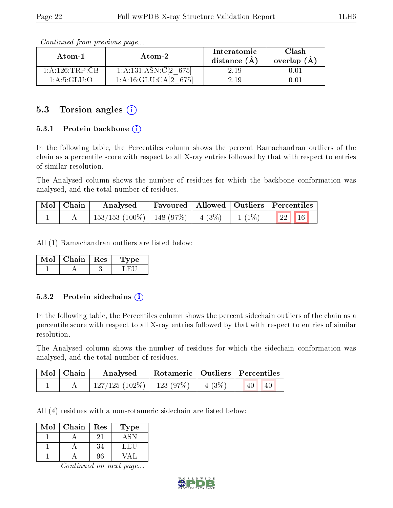| Atom-1          | Atom-2               | Interatomic<br>distance (A) | Clash<br>overlap (A |
|-----------------|----------------------|-----------------------------|---------------------|
| 1:A:126:TRP:CB  | 1:A:131:ASN:C[2 675] | 2.19                        |                     |
| 1: A: 5: GLU: O | 1:A:16:GLU:CA[2 675] | 2.19                        |                     |

#### 5.3 Torsion angles  $(i)$

#### 5.3.1 Protein backbone  $(i)$

In the following table, the Percentiles column shows the percent Ramachandran outliers of the chain as a percentile score with respect to all X-ray entries followed by that with respect to entries of similar resolution.

The Analysed column shows the number of residues for which the backbone conformation was analysed, and the total number of residues.

| $\mid$ Mol $\mid$ Chain $\mid$ | Analysed                                                           |  | Favoured   Allowed   Outliers   Percentiles |
|--------------------------------|--------------------------------------------------------------------|--|---------------------------------------------|
|                                | $^{\prime}$ 153/153 (100%)   148 (97%)   4 (3%)   1 (1%)   22   16 |  |                                             |

All (1) Ramachandran outliers are listed below:

| Mol | Chain   Res | Type |
|-----|-------------|------|
|     |             |      |

#### 5.3.2 Protein sidechains  $(i)$

In the following table, the Percentiles column shows the percent sidechain outliers of the chain as a percentile score with respect to all X-ray entries followed by that with respect to entries of similar resolution.

The Analysed column shows the number of residues for which the sidechain conformation was analysed, and the total number of residues.

| $\mid$ Mol $\mid$ Chain | Analysed                       |       | Rotameric   Outliers   Percentiles |  |
|-------------------------|--------------------------------|-------|------------------------------------|--|
|                         | $127/125$ (102\%)   123 (97\%) | 4(3%) | 40<br>40                           |  |

All (4) residues with a non-rotameric sidechain are listed below:

| Mol | Chain | Res | `ype  |
|-----|-------|-----|-------|
|     |       |     |       |
|     |       |     | . H.L |
|     |       | າຮ  |       |

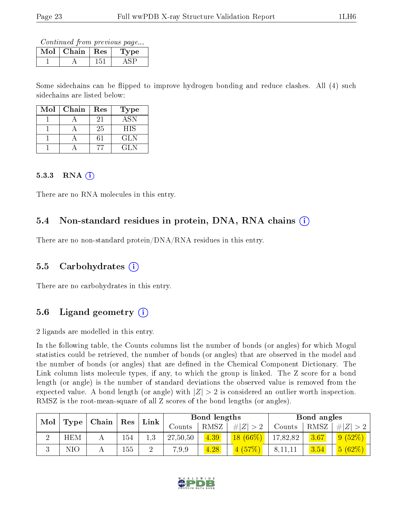Continued from previous page...

| Mol | Chain | Res. | vpe |
|-----|-------|------|-----|
|     |       |      |     |

Some sidechains can be flipped to improve hydrogen bonding and reduce clashes. All (4) such sidechains are listed below:

| Mol | Chain | Res | <b>Type</b> |
|-----|-------|-----|-------------|
|     |       | 21  | <b>ASN</b>  |
|     |       | 25  | <b>HIS</b>  |
|     |       |     | GLN         |
|     |       |     | CI N        |

#### 5.3.3 RNA  $(i)$

There are no RNA molecules in this entry.

#### 5.4 Non-standard residues in protein, DNA, RNA chains (i)

There are no non-standard protein/DNA/RNA residues in this entry.

#### 5.5 Carbohydrates (i)

There are no carbohydrates in this entry.

### 5.6 Ligand geometry  $(i)$

2 ligands are modelled in this entry.

In the following table, the Counts columns list the number of bonds (or angles) for which Mogul statistics could be retrieved, the number of bonds (or angles) that are observed in the model and the number of bonds (or angles) that are defined in the Chemical Component Dictionary. The Link column lists molecule types, if any, to which the group is linked. The Z score for a bond length (or angle) is the number of standard deviations the observed value is removed from the expected value. A bond length (or angle) with  $|Z| > 2$  is considered an outlier worth inspection. RMSZ is the root-mean-square of all Z scores of the bond lengths (or angles).

| Mol |                          |                   |     |         |          | Bond lengths      |             |          | Bond angles |        |
|-----|--------------------------|-------------------|-----|---------|----------|-------------------|-------------|----------|-------------|--------|
|     | $\parallel$ Type $\perp$ | $ $ Chain $ $ Res |     | Link    | Counts   | <b>RMSZ</b>       | # $ Z  > 2$ | Counts   | RMSZ        | # Z    |
| റ   | HEM                      |                   | 154 | $1.3\,$ | 27,50,50 | 4.39 <sup>1</sup> | $18(66\%)$  | 17,82,82 | 3.67        | 9(52%) |
| ιJ  | NIC                      |                   | 155 |         | 7,9,9    | $\sqrt{4.28}$     | 4(57%)      | 8,11,11  | 3.54        | 5(62%) |

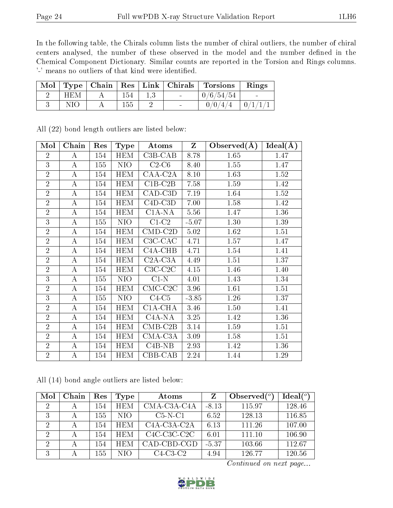In the following table, the Chirals column lists the number of chiral outliers, the number of chiral centers analysed, the number of these observed in the model and the number defined in the Chemical Component Dictionary. Similar counts are reported in the Torsion and Rings columns. '-' means no outliers of that kind were identified.

|            |     | $\perp$ Mol $\parallel$ Type $\parallel$ Chain $\parallel$ Res $\parallel$ Link $\parallel$ Chirals $\parallel$ | <b>Torsions</b> | Rings          |
|------------|-----|-----------------------------------------------------------------------------------------------------------------|-----------------|----------------|
| <b>HEM</b> | 154 | <b>Contract Contract</b>                                                                                        | 0/6/54/54       | $\blacksquare$ |
| NΙO        | 155 | $\sim$                                                                                                          | 0/0/4/4         | $\pm 0/1/1/1$  |

| Mol            | Chain            | Res | <b>Type</b> | Atoms                                     | $Z_{\parallel}$ | Observed $(A)$ | Ideal(A) |
|----------------|------------------|-----|-------------|-------------------------------------------|-----------------|----------------|----------|
| $\overline{2}$ | A                | 154 | <b>HEM</b>  | $C3B-CAB$                                 | 8.78            | 1.65           | 1.47     |
| 3              | $\bf{A}$         | 155 | NIO         | $C2-C6$                                   | 8.40            | 1.55           | 1.47     |
| $\overline{2}$ | $\bf{A}$         | 154 | <b>HEM</b>  | CAA-C2A                                   | 8.10            | 1.63           | 1.52     |
| $\overline{2}$ | $\bf{A}$         | 154 | <b>HEM</b>  | $C1B-C2B$                                 | 7.58            | 1.59           | 1.42     |
| $\overline{2}$ | $\bf{A}$         | 154 | <b>HEM</b>  | CAD-C3D                                   | 7.19            | 1.64           | 1.52     |
| $\overline{2}$ | $\bf{A}$         | 154 | <b>HEM</b>  | $\overline{\text{C4}}\text{D-}\text{C3D}$ | 7.00            | 1.58           | 1.42     |
| $\overline{2}$ | $\boldsymbol{A}$ | 154 | <b>HEM</b>  | C <sub>1</sub> A-N <sub>A</sub>           | 5.56            | 1.47           | 1.36     |
| 3              | $\bf{A}$         | 155 | NIO         | $C1-C2$                                   | $-5.07$         | 1.30           | 1.39     |
| $\overline{2}$ | $\bf{A}$         | 154 | <b>HEM</b>  | $\overline{\text{CMD}}$ -C2D              | 5.02            | 1.62           | 1.51     |
| $\overline{2}$ | $\bf{A}$         | 154 | <b>HEM</b>  | C <sub>3</sub> C-C <sub>A</sub> C         | 4.71            | 1.57           | 1.47     |
| $\overline{2}$ | $\bf{A}$         | 154 | <b>HEM</b>  | C <sub>4</sub> A-CH <sub>B</sub>          | 4.71            | 1.54           | 1.41     |
| $\overline{2}$ | А                | 154 | <b>HEM</b>  | $C2A-C3A$                                 | 4.49            | 1.51           | 1.37     |
| $\overline{2}$ | $\bf{A}$         | 154 | <b>HEM</b>  | $C3C-C2C$                                 | 4.15            | 1.46           | 1.40     |
| 3              | $\bf{A}$         | 155 | NIO         | $C1-N$                                    | 4.01            | 1.43           | 1.34     |
| $\overline{2}$ | $\bf{A}$         | 154 | <b>HEM</b>  | $CMC-C2C$                                 | 3.96            | 1.61           | 1.51     |
| 3              | $\bf{A}$         | 155 | NIO         | $C4-C5$                                   | $-3.85$         | 1.26           | 1.37     |
| $\overline{2}$ | $\bf{A}$         | 154 | <b>HEM</b>  | C1A-CHA                                   | 3.46            | 1.50           | 1.41     |
| $\overline{2}$ | $\boldsymbol{A}$ | 154 | <b>HEM</b>  | C <sub>4</sub> A-N <sub>A</sub>           | 3.25            | 1.42           | 1.36     |
| $\overline{2}$ | $\bf{A}$         | 154 | <b>HEM</b>  | $CMB-C2B$                                 | 3.14            | 1.59           | 1.51     |
| $\overline{2}$ | $\bf{A}$         | 154 | <b>HEM</b>  | $CMA-C3A$                                 | 3.09            | 1.58           | 1.51     |
| $\overline{2}$ | $\bf{A}$         | 154 | <b>HEM</b>  | $C4B-NB$                                  | 2.93            | 1.42           | 1.36     |
| $\overline{2}$ | $\bf{A}$         | 154 | <b>HEM</b>  | CBB-CAB                                   | 2.24            | 1.44           | 1.29     |

All (22) bond length outliers are listed below:

All (14) bond angle outliers are listed below:

| Mol | Chain | Res | Type       | Atoms                                              | $\mathbf{Z}$ | Observed $(^\circ)$ | $\text{Ideal}({}^o)$ |
|-----|-------|-----|------------|----------------------------------------------------|--------------|---------------------|----------------------|
| 2   |       | 154 | <b>HEM</b> | CMA-C3A-C4A                                        | $-8.13$      | 115.97              | 128.46               |
| 3   |       | 155 | NIO        | $C5-N-C1$                                          | 6.52         | 128.13              | 116.85               |
| 2   |       | 154 | <b>HEM</b> | C <sub>4</sub> A-C <sub>3</sub> A-C <sub>2</sub> A | 6.13         | 111.26              | 107.00               |
| 2   |       | 154 | <b>HEM</b> | $C4C-C3C-C2C$                                      | 6.01         | 111.10              | 106.90               |
| 2   |       | 154 | <b>HEM</b> | CAD-CBD-CGD                                        | $-5.37$      | 103.66              | 112.67               |
| 3   |       | 155 | NIO        | $C4-C3-C2$                                         | 4.94         | 126.77              | 120.56               |

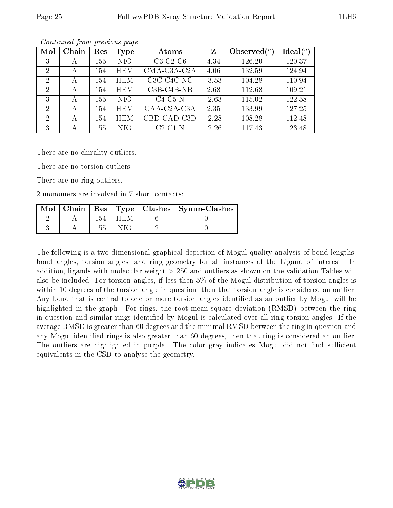| Mol                         | Chain | Res | Type       | Atoms        | Z       | Observed $(°)$ | Ideal $(°)$ |
|-----------------------------|-------|-----|------------|--------------|---------|----------------|-------------|
| 3                           | А     | 155 | NIO        | $C3-C2-C6$   | 4.34    | 126.20         | 120.37      |
| $\overline{2}$              | А     | 154 | <b>HEM</b> | CMA-C3A-C2A  | 4.06    | 132.59         | 124.94      |
| $\overline{2}$              |       | 154 | <b>HEM</b> | $C3C-C4C-NC$ | $-3.53$ | 104.28         | 110.94      |
| $\overline{2}$              |       | 154 | <b>HEM</b> | $C3B-C4B-NB$ | 2.68    | 112.68         | 109.21      |
| 3                           |       | 155 | NIO        | $C4-C5-N$    | $-2.63$ | 115.02         | 122.58      |
| $\mathcal{D}_{\mathcal{A}}$ | A     | 154 | <b>HEM</b> | CAA-C2A-C3A  | 2.35    | 133.99         | 127.25      |
| $\mathcal{D}_{\mathcal{L}}$ |       | 154 | <b>HEM</b> | CBD-CAD-C3D  | $-2.28$ | 108.28         | 112.48      |
| 3                           |       | 155 | NΙO        | $C2-C1-N$    | $-2.26$ | 117.43         | 123.48      |

There are no chirality outliers.

There are no torsion outliers.

There are no ring outliers.

2 monomers are involved in 7 short contacts:

| $Mol$   Chain |           | $\mid$ Res $\mid$ Type $\mid$ Clashes $\mid$ Symm-Clashes |
|---------------|-----------|-----------------------------------------------------------|
|               | - ⊟ H\N/' |                                                           |
|               |           |                                                           |

The following is a two-dimensional graphical depiction of Mogul quality analysis of bond lengths, bond angles, torsion angles, and ring geometry for all instances of the Ligand of Interest. In addition, ligands with molecular weight > 250 and outliers as shown on the validation Tables will also be included. For torsion angles, if less then 5% of the Mogul distribution of torsion angles is within 10 degrees of the torsion angle in question, then that torsion angle is considered an outlier. Any bond that is central to one or more torsion angles identified as an outlier by Mogul will be highlighted in the graph. For rings, the root-mean-square deviation (RMSD) between the ring in question and similar rings identified by Mogul is calculated over all ring torsion angles. If the average RMSD is greater than 60 degrees and the minimal RMSD between the ring in question and any Mogul-identified rings is also greater than 60 degrees, then that ring is considered an outlier. The outliers are highlighted in purple. The color gray indicates Mogul did not find sufficient equivalents in the CSD to analyse the geometry.

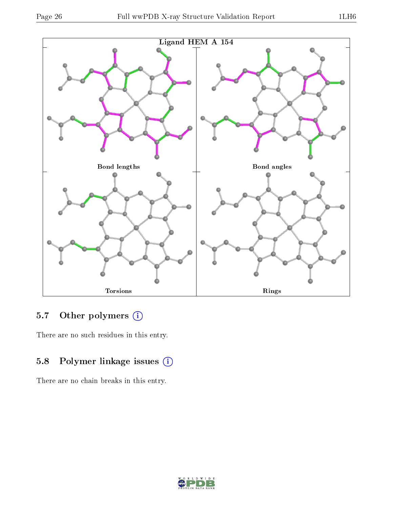



## 5.7 [O](https://www.wwpdb.org/validation/2017/XrayValidationReportHelp#nonstandard_residues_and_ligands)ther polymers (i)

There are no such residues in this entry.

## 5.8 Polymer linkage issues (i)

There are no chain breaks in this entry.

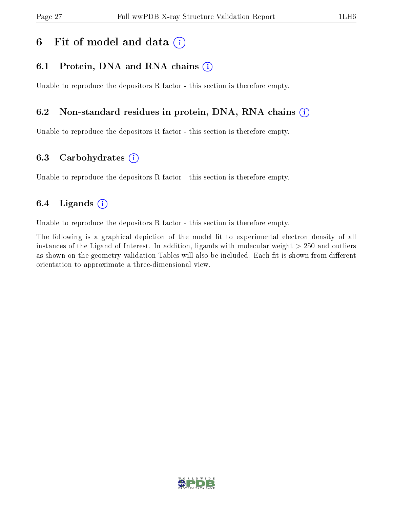## 6 Fit of model and data  $(i)$

### 6.1 Protein, DNA and RNA chains  $(i)$

Unable to reproduce the depositors R factor - this section is therefore empty.

### 6.2 Non-standard residues in protein, DNA, RNA chains (i)

Unable to reproduce the depositors R factor - this section is therefore empty.

### 6.3 Carbohydrates (i)

Unable to reproduce the depositors R factor - this section is therefore empty.

### 6.4 Ligands  $(i)$

Unable to reproduce the depositors R factor - this section is therefore empty.

The following is a graphical depiction of the model fit to experimental electron density of all instances of the Ligand of Interest. In addition, ligands with molecular weight > 250 and outliers as shown on the geometry validation Tables will also be included. Each fit is shown from different orientation to approximate a three-dimensional view.